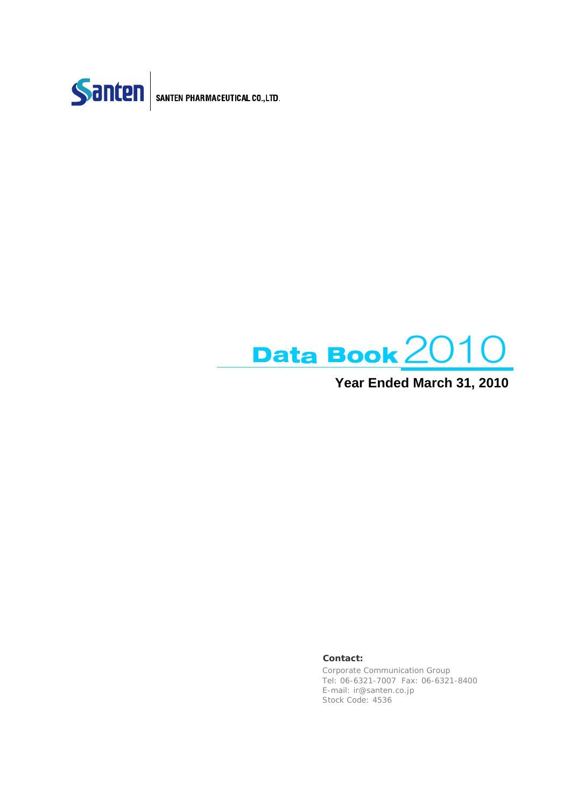



**Year Ended March 31, 2010**

**Contact:**

Corporate Communication Group Tel: 06-6321-7007 Fax: 06-6321-8400 E-mail: ir@santen.co.jp Stock Code: 4536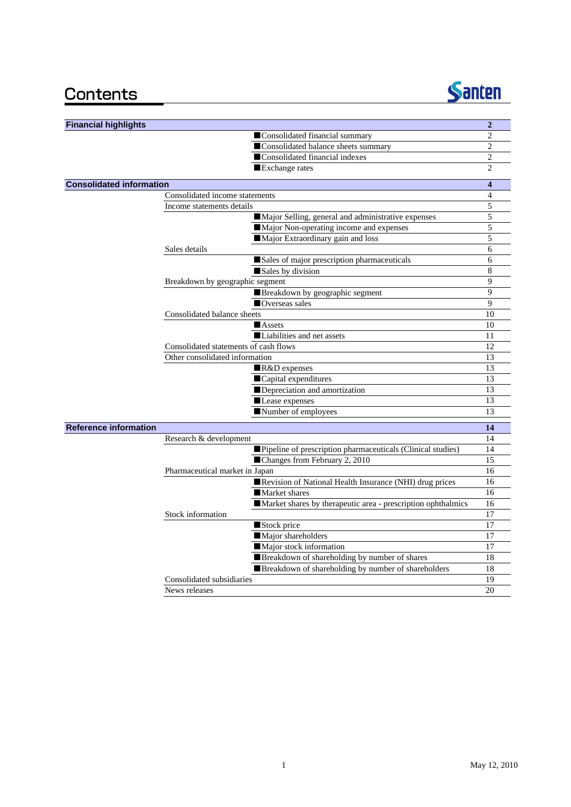

| <b>Financial highlights</b>     |                                                              | $\overline{2}$ |
|---------------------------------|--------------------------------------------------------------|----------------|
|                                 | Consolidated financial summary                               | $\overline{2}$ |
|                                 | Consolidated balance sheets summary                          | $\overline{c}$ |
|                                 | Consolidated financial indexes                               | $\overline{2}$ |
|                                 | Exchange rates                                               | $\overline{c}$ |
| <b>Consolidated information</b> |                                                              | 4              |
|                                 | Consolidated income statements                               | 4              |
|                                 | Income statements details                                    | 5              |
|                                 | Major Selling, general and administrative expenses           | 5              |
|                                 | Major Non-operating income and expenses                      | 5              |
|                                 | Major Extraordinary gain and loss                            | 5              |
|                                 | Sales details                                                | 6              |
|                                 | Sales of major prescription pharmaceuticals                  | 6              |
|                                 | Sales by division                                            | 8              |
|                                 | Breakdown by geographic segment                              | 9              |
|                                 | Breakdown by geographic segment                              | 9              |
|                                 | Overseas sales                                               | 9              |
|                                 | Consolidated balance sheets                                  | 10             |
|                                 | Assets                                                       | 10             |
|                                 | Liabilities and net assets                                   | 11             |
|                                 | Consolidated statements of cash flows                        | 12             |
|                                 | Other consolidated information                               | 13             |
|                                 | R&D expenses                                                 | 13             |
|                                 | Capital expenditures                                         | 13             |
|                                 | Depreciation and amortization                                | 13             |
|                                 | Lease expenses                                               | 13             |
|                                 | Number of employees                                          | 13             |
| <b>Reference information</b>    |                                                              | 14             |
|                                 | Research & development                                       | 14             |
|                                 | Pipeline of prescription pharmaceuticals (Clinical studies)  | 14             |
|                                 | ■Changes from February 2, 2010                               | 15             |
|                                 | Pharmaceutical market in Japan                               | 16             |
|                                 | Revision of National Health Insurance (NHI) drug prices      | 16             |
|                                 | Market shares                                                | 16             |
|                                 | Market shares by therapeutic area - prescription ophthalmics | 16             |
|                                 | Stock information                                            | 17             |
|                                 | Stock price                                                  | 17             |
|                                 | Major shareholders                                           | 17             |
|                                 | Major stock information                                      | 17             |
|                                 | Breakdown of shareholding by number of shares                | 18             |
|                                 | Breakdown of shareholding by number of shareholders          | 18             |
|                                 | Consolidated subsidiaries                                    | 19             |
|                                 | News releases                                                | 20             |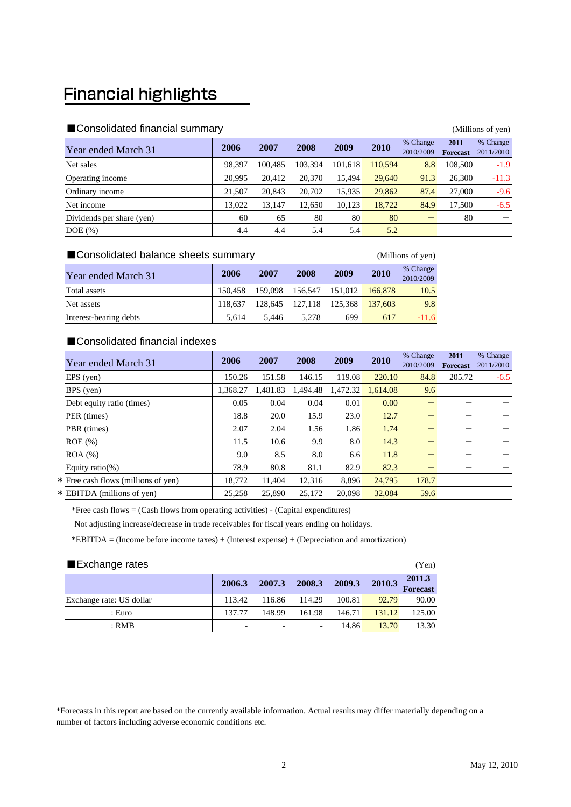### **Financial highlights**

| ■ Consolidated financial summary<br>(Millions of yen) |        |         |         |         |         |                       |                         |                       |  |  |
|-------------------------------------------------------|--------|---------|---------|---------|---------|-----------------------|-------------------------|-----------------------|--|--|
| Year ended March 31                                   | 2006   | 2007    | 2008    | 2009    | 2010    | % Change<br>2010/2009 | 2011<br><b>Forecast</b> | % Change<br>2011/2010 |  |  |
| Net sales                                             | 98,397 | 100.485 | 103.394 | 101.618 | 110,594 | 8.8                   | 108,500                 | $-1.9$                |  |  |
| Operating income                                      | 20,995 | 20.412  | 20,370  | 15.494  | 29,640  | 91.3                  | 26,300                  | $-11.3$               |  |  |
| Ordinary income                                       | 21,507 | 20,843  | 20,702  | 15,935  | 29,862  | 87.4                  | 27,000                  | $-9.6$                |  |  |
| Net income                                            | 13.022 | 13.147  | 12.650  | 10,123  | 18,722  | 84.9                  | 17.500                  | $-6.5$                |  |  |
| Dividends per share (yen)                             | 60     | 65      | 80      | 80      | 80      |                       | 80                      |                       |  |  |
| $DOE$ $(\%)$                                          | 4.4    | 4.4     | 5.4     | 5.4     | 5.2     |                       |                         |                       |  |  |

| ■ Consolidated balance sheets summary<br>(Millions of yen) |         |      |                                 |      |      |                       |  |
|------------------------------------------------------------|---------|------|---------------------------------|------|------|-----------------------|--|
| Year ended March 31                                        | 2006    | 2007 | 2008                            | 2009 | 2010 | % Change<br>2010/2009 |  |
| Total assets                                               | 150.458 |      | 159,098 156,547 151,012 166,878 |      |      | 10.5                  |  |

Net assets 118,637 128,645 127,118 125,368 137,603 9.8 Interest-bearing debts 5,614 5,446 5,278 699 617 -11.6

#### ■Consolidated financial indexes

| Year ended March 31                 | 2006     | 2007     | 2008     | 2009     | 2010     | % Change<br>2010/2009 | 2011<br><b>Forecast</b> | % Change<br>2011/2010 |
|-------------------------------------|----------|----------|----------|----------|----------|-----------------------|-------------------------|-----------------------|
| $EPS$ (yen)                         | 150.26   | 151.58   | 146.15   | 119.08   | 220.10   | 84.8                  | 205.72                  | $-6.5$                |
| BPS (yen)                           | 1.368.27 | 1.481.83 | 1.494.48 | 1,472.32 | 1.614.08 | 9.6                   |                         |                       |
| Debt equity ratio (times)           | 0.05     | 0.04     | 0.04     | 0.01     | 0.00     |                       |                         |                       |
| PER (times)                         | 18.8     | 20.0     | 15.9     | 23.0     | 12.7     |                       |                         |                       |
| PBR (times)                         | 2.07     | 2.04     | 1.56     | 1.86     | 1.74     |                       |                         |                       |
| $ROE$ $(\%)$                        | 11.5     | 10.6     | 9.9      | 8.0      | 14.3     |                       |                         |                       |
| $ROA$ $%$                           | 9.0      | 8.5      | 8.0      | 6.6      | 11.8     |                       |                         |                       |
| Equity ratio(%)                     | 78.9     | 80.8     | 81.1     | 82.9     | 82.3     |                       |                         |                       |
| * Free cash flows (millions of yen) | 18,772   | 11,404   | 12,316   | 8,896    | 24,795   | 178.7                 |                         |                       |
| * EBITDA (millions of ven)          | 25,258   | 25,890   | 25.172   | 20,098   | 32,084   | 59.6                  |                         |                       |

\*Free cash flows = (Cash flows from operating activities) - (Capital expenditures)

Not adjusting increase/decrease in trade receivables for fiscal years ending on holidays.

\*EBITDA = (Income before income taxes) + (Interest expense) + (Depreciation and amortization)

| ■Exchange rates          |        |        |        |        |        |                           |  |  |
|--------------------------|--------|--------|--------|--------|--------|---------------------------|--|--|
|                          | 2006.3 | 2007.3 | 2008.3 | 2009.3 | 2010.3 | 2011.3<br><b>Forecast</b> |  |  |
| Exchange rate: US dollar | 113.42 | 116.86 | 114.29 | 100.81 | 92.79  | 90.00                     |  |  |
| : Euro                   | 137.77 | 148.99 | 161.98 | 146.71 | 131.12 | 125.00                    |  |  |
| $:$ RMB                  |        |        |        | 14.86  | 13.70  | 13.30                     |  |  |

\*Forecasts in this report are based on the currently available information. Actual results may differ materially depending on a number of factors including adverse economic conditions etc.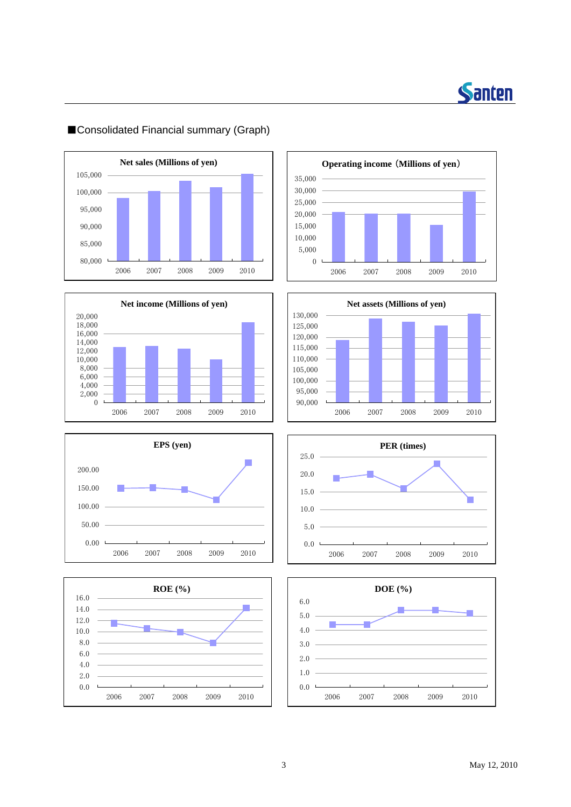

### $100,000$  — **Net sales (Millions of yen)** 80,000 85,000 90,000 95,000 105,000 2006 2007 2008 2009 2010















### ■Consolidated Financial summary (Graph)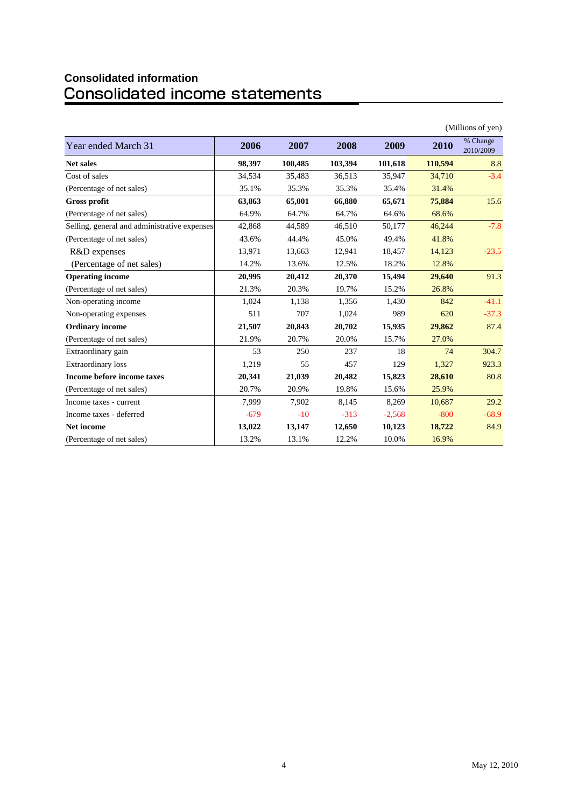# **Consolidated information**

|                                              |        |         |         |          |         | (Millions of yen)     |
|----------------------------------------------|--------|---------|---------|----------|---------|-----------------------|
| Year ended March 31                          | 2006   | 2007    | 2008    | 2009     | 2010    | % Change<br>2010/2009 |
| <b>Net sales</b>                             | 98,397 | 100,485 | 103,394 | 101,618  | 110,594 | 8.8                   |
| Cost of sales                                | 34,534 | 35,483  | 36,513  | 35,947   | 34,710  | $-3.4$                |
| (Percentage of net sales)                    | 35.1%  | 35.3%   | 35.3%   | 35.4%    | 31.4%   |                       |
| <b>Gross profit</b>                          | 63,863 | 65,001  | 66,880  | 65,671   | 75,884  | 15.6                  |
| (Percentage of net sales)                    | 64.9%  | 64.7%   | 64.7%   | 64.6%    | 68.6%   |                       |
| Selling, general and administrative expenses | 42,868 | 44,589  | 46,510  | 50,177   | 46,244  | $-7.8$                |
| (Percentage of net sales)                    | 43.6%  | 44.4%   | 45.0%   | 49.4%    | 41.8%   |                       |
| R&D expenses                                 | 13,971 | 13,663  | 12,941  | 18,457   | 14,123  | $-23.5$               |
| (Percentage of net sales)                    | 14.2%  | 13.6%   | 12.5%   | 18.2%    | 12.8%   |                       |
| <b>Operating income</b>                      | 20,995 | 20,412  | 20,370  | 15,494   | 29,640  | 91.3                  |
| (Percentage of net sales)                    | 21.3%  | 20.3%   | 19.7%   | 15.2%    | 26.8%   |                       |
| Non-operating income                         | 1,024  | 1,138   | 1,356   | 1,430    | 842     | $-41.1$               |
| Non-operating expenses                       | 511    | 707     | 1,024   | 989      | 620     | $-37.3$               |
| <b>Ordinary income</b>                       | 21,507 | 20,843  | 20,702  | 15,935   | 29,862  | 87.4                  |
| (Percentage of net sales)                    | 21.9%  | 20.7%   | 20.0%   | 15.7%    | 27.0%   |                       |
| Extraordinary gain                           | 53     | 250     | 237     | 18       | 74      | 304.7                 |
| <b>Extraordinary</b> loss                    | 1,219  | 55      | 457     | 129      | 1,327   | 923.3                 |
| Income before income taxes                   | 20,341 | 21,039  | 20,482  | 15,823   | 28,610  | 80.8                  |
| (Percentage of net sales)                    | 20.7%  | 20.9%   | 19.8%   | 15.6%    | 25.9%   |                       |
| Income taxes - current                       | 7.999  | 7.902   | 8,145   | 8,269    | 10.687  | 29.2                  |
| Income taxes - deferred                      | $-679$ | $-10$   | $-313$  | $-2,568$ | $-800$  | $-68.9$               |
| <b>Net income</b>                            | 13,022 | 13,147  | 12,650  | 10,123   | 18,722  | 84.9                  |
| (Percentage of net sales)                    | 13.2%  | 13.1%   | 12.2%   | 10.0%    | 16.9%   |                       |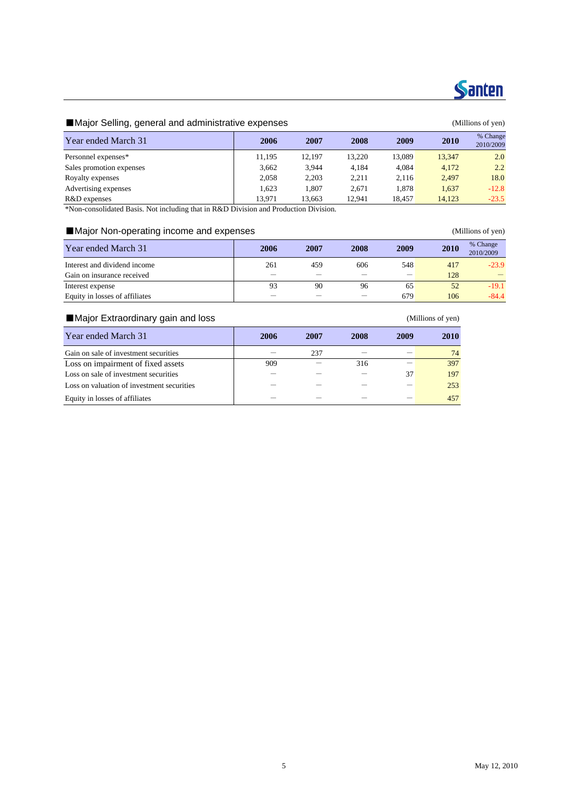

### **Santen**

#### ■Major Selling, general and administrative expenses (Millions of yen)

| ັ້                       |        |        |        |        |        |                       |
|--------------------------|--------|--------|--------|--------|--------|-----------------------|
| Year ended March 31      | 2006   | 2007   | 2008   | 2009   | 2010   | % Change<br>2010/2009 |
| Personnel expenses*      | 11,195 | 12,197 | 13,220 | 13.089 | 13,347 | 2.0                   |
| Sales promotion expenses | 3,662  | 3.944  | 4.184  | 4.084  | 4,172  | 2.2                   |
| Royalty expenses         | 2.058  | 2.203  | 2.211  | 2.116  | 2,497  | 18.0                  |
| Advertising expenses     | 1.623  | 1.807  | 2.671  | 1.878  | 1,637  | $-12.8$               |
| R&D expenses             | 13.971 | 13,663 | 12,941 | 18,457 | 14,123 | $-23.5$               |

\*Non-consolidated Basis. Not including that in R&D Division and Production Division.

#### ■Major Non-operating income and expenses (Millions of yen)

| Year ended March 31            | 2006 | 2007 | 2008 | 2009 | 2010 | % Change<br>2010/2009 |
|--------------------------------|------|------|------|------|------|-----------------------|
| Interest and dividend income   | 261  | 459  | 606  | 548  | 417  | $-23.9$               |
| Gain on insurance received     |      |      |      |      | 128  |                       |
| Interest expense               | 93   | 90   | 96   | 65   | 52   | $-19.1$               |
| Equity in losses of affiliates |      |      |      | 679  | 106  | $-84.4$               |

#### ■Major Extraordinary gain and loss (Millions of yen)

| Year ended March 31                        | 2006 | 2007 | 2008 | 2009 | 2010 |
|--------------------------------------------|------|------|------|------|------|
| Gain on sale of investment securities      |      | 237  |      |      | 74   |
| Loss on impairment of fixed assets         | 909  |      | 316  |      | 397  |
| Loss on sale of investment securities      |      |      |      | 37   | 197  |
| Loss on valuation of investment securities |      |      |      |      | 253  |
| Equity in losses of affiliates             |      |      |      |      | 457  |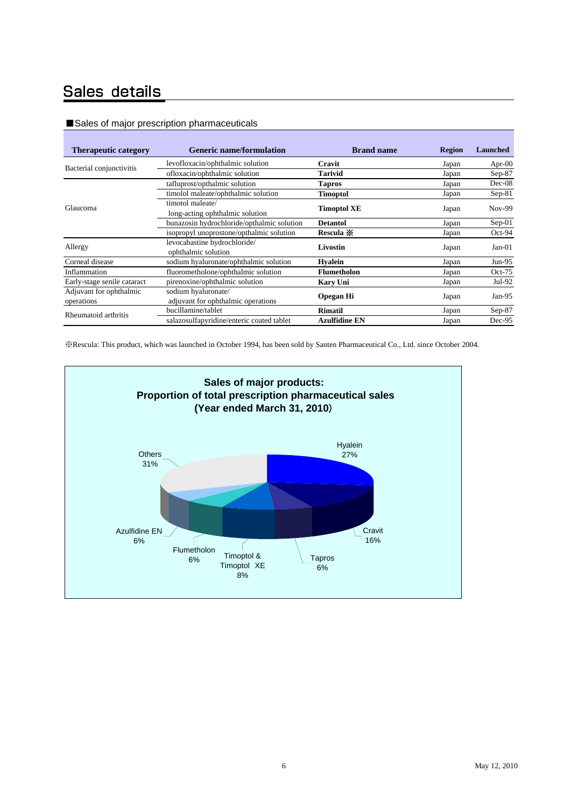### Sales details

#### ■Sales of major prescription pharmaceuticals

| <b>Therapeutic category</b> | <b>Generic name/formulation</b>            | <b>Brand name</b>    | <b>Region</b> | <b>Launched</b> |
|-----------------------------|--------------------------------------------|----------------------|---------------|-----------------|
| Bacterial conjunctivitis    | levofloxacin/ophthalmic solution           | Cravit               | Japan         | Apr- $00$       |
|                             | ofloxacin/ophthalmic solution              | <b>Tarivid</b>       | Japan         | Sep-87          |
|                             | tafluprost/opthalmic solution              | <b>Tapros</b>        | Japan         | $Dec-08$        |
|                             | timolol maleate/ophthalmic solution        | <b>Timoptol</b>      | Japan         | $Sep-81$        |
| Glaucoma                    | timotol maleate/                           | <b>Timoptol XE</b>   |               | <b>Nov-99</b>   |
|                             | long-acting ophthalmic solution            |                      | Japan         |                 |
|                             | bunazosin hydrochloride/opthalmic solution | <b>Detantol</b>      | Japan         | $Sep-01$        |
|                             | isopropyl unoprostone/opthalmic solution   | Rescula *            | Japan         | $Oct-94$        |
| Allergy                     | levocabastine hydrochloride/               | Livostin             |               | $Jan-01$        |
|                             | ophthalmic solution                        |                      | Japan         |                 |
| Corneal disease             | sodium hyaluronate/ophthalmic solution     | <b>Hyalein</b>       | Japan         | $Jun-95$        |
| Inflammation                | fluorometholone/ophthalmic solution        | <b>Flumetholon</b>   | Japan         | $Oct-75$        |
| Early-stage senile cataract | pirenoxine/ophthalmic solution             | <b>Kary Uni</b>      | Japan         | $Jul-92$        |
| Adjuvant for ophthalmic     | sodium hyaluronate/                        |                      |               |                 |
| operations                  | adjuvant for ophthalmic operations         | <b>Opegan Hi</b>     | Japan         | Jan-95          |
| Rheumatoid arthritis        | bucillamine/tablet                         | Rimatil              | Japan         | $Sep-87$        |
|                             | salazosulfapyridine/enteric coated tablet  | <b>Azulfidine EN</b> | Japan         | Dec-95          |

※Rescula: This product, which was launched in October 1994, has been sold by Santen Pharmaceutical Co., Ltd. since October 2004.

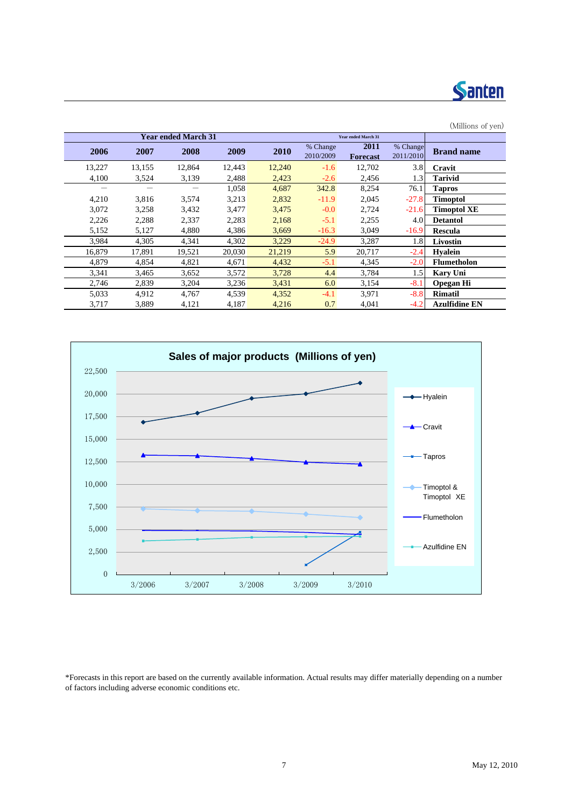

| (Millions of yen)    |           |                            |           |        |                            |        |        |        |  |  |
|----------------------|-----------|----------------------------|-----------|--------|----------------------------|--------|--------|--------|--|--|
|                      |           | <b>Year ended March 31</b> |           |        | <b>Year ended March 31</b> |        |        |        |  |  |
| <b>Brand name</b>    | % Change  | <b>2011</b>                | % Change  | 2010   | 2009                       | 2008   | 2007   | 2006   |  |  |
|                      | 2011/2010 | <b>Forecast</b>            | 2010/2009 |        |                            |        |        |        |  |  |
| Cravit               | 3.8       | 12,702                     | $-1.6$    | 12,240 | 12,443                     | 12,864 | 13,155 | 13,227 |  |  |
| Tarivid              | 1.3       | 2,456                      | $-2.6$    | 2,423  | 2,488                      | 3,139  | 3,524  | 4,100  |  |  |
| <b>Tapros</b>        | 76.1      | 8,254                      | 342.8     | 4,687  | 1,058                      |        |        | -      |  |  |
| <b>Timoptol</b>      | $-27.8$   | 2,045                      | $-11.9$   | 2,832  | 3,213                      | 3,574  | 3,816  | 4,210  |  |  |
| Timoptol XE          | $-21.6$   | 2,724                      | $-0.0$    | 3,475  | 3,477                      | 3,432  | 3,258  | 3,072  |  |  |
| <b>Detantol</b>      | 4.0       | 2,255                      | $-5.1$    | 2,168  | 2,283                      | 2,337  | 2,288  | 2,226  |  |  |
| Rescula              | $-16.9$   | 3,049                      | $-16.3$   | 3,669  | 4,386                      | 4,880  | 5,127  | 5,152  |  |  |
| Livostin             | 1.8       | 3,287                      | $-24.9$   | 3,229  | 4,302                      | 4,341  | 4,305  | 3,984  |  |  |
| <b>Hvalein</b>       | $-2.4$    | 20,717                     | 5.9       | 21,219 | 20,030                     | 19,521 | 17,891 | 16.879 |  |  |
| <b>Flumetholon</b>   | $-2.0$    | 4,345                      | $-5.1$    | 4,432  | 4,671                      | 4.821  | 4,854  | 4,879  |  |  |
| Kary Uni             | 1.5       | 3,784                      | 4.4       | 3,728  | 3,572                      | 3,652  | 3,465  | 3,341  |  |  |
| <b>Opegan Hi</b>     | $-8.1$    | 3,154                      | 6.0       | 3,431  | 3,236                      | 3,204  | 2,839  | 2,746  |  |  |
| <b>Rimatil</b>       | $-8.8$    | 3,971                      | $-4.1$    | 4,352  | 4,539                      | 4,767  | 4,912  | 5,033  |  |  |
| <b>Azulfidine EN</b> | $-4.2$    | 4,041                      | 0.7       | 4,216  | 4,187                      | 4,121  | 3,889  | 3,717  |  |  |



\*Forecasts in this report are based on the currently available information. Actual results may differ materially depending on a number of factors including adverse economic conditions etc.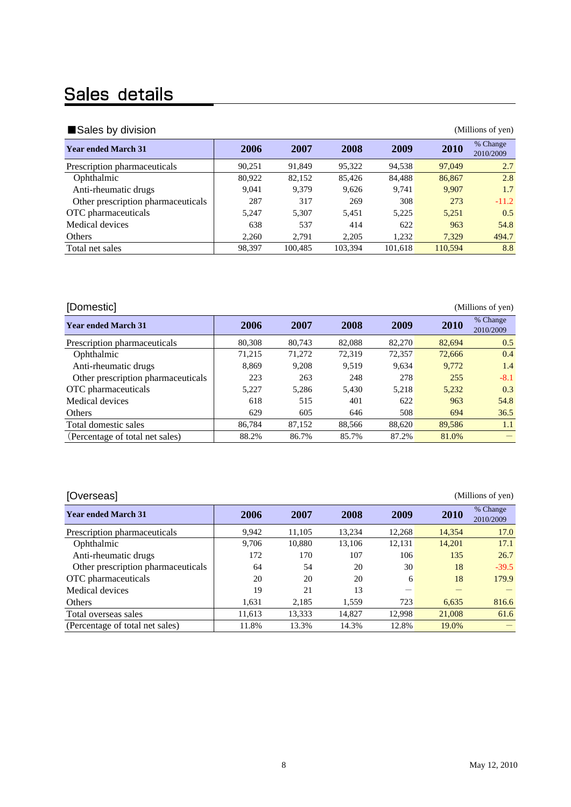## Sales details

| Sales by division<br>(Millions of yen) |        |         |         |         |         |                       |  |  |  |  |
|----------------------------------------|--------|---------|---------|---------|---------|-----------------------|--|--|--|--|
| <b>Year ended March 31</b>             | 2006   | 2007    | 2008    | 2009    | 2010    | % Change<br>2010/2009 |  |  |  |  |
| Prescription pharmaceuticals           | 90.251 | 91.849  | 95,322  | 94,538  | 97,049  | 2.7                   |  |  |  |  |
| Ophthalmic                             | 80,922 | 82,152  | 85,426  | 84,488  | 86,867  | 2.8                   |  |  |  |  |
| Anti-rheumatic drugs                   | 9,041  | 9.379   | 9.626   | 9.741   | 9.907   | 1.7                   |  |  |  |  |
| Other prescription pharmaceuticals     | 287    | 317     | 269     | 308     | 273     | $-11.2$               |  |  |  |  |
| OTC pharmaceuticals                    | 5,247  | 5.307   | 5.451   | 5,225   | 5,251   | 0.5                   |  |  |  |  |
| Medical devices                        | 638    | 537     | 414     | 622     | 963     | 54.8                  |  |  |  |  |
| Others                                 | 2,260  | 2.791   | 2,205   | 1,232   | 7.329   | 494.7                 |  |  |  |  |
| Total net sales                        | 98,397 | 100.485 | 103.394 | 101,618 | 110,594 | 8.8                   |  |  |  |  |

| [Domestic]                         |        |        |        |        |        | (Millions of yen)     |
|------------------------------------|--------|--------|--------|--------|--------|-----------------------|
| <b>Year ended March 31</b>         | 2006   | 2007   | 2008   | 2009   | 2010   | % Change<br>2010/2009 |
| Prescription pharmaceuticals       | 80,308 | 80.743 | 82,088 | 82,270 | 82,694 | 0.5                   |
| Ophthalmic                         | 71,215 | 71,272 | 72,319 | 72,357 | 72,666 | 0.4                   |
| Anti-rheumatic drugs               | 8.869  | 9.208  | 9.519  | 9,634  | 9.772  | 1.4                   |
| Other prescription pharmaceuticals | 223    | 263    | 248    | 278    | 255    | $-8.1$                |
| OTC pharmaceuticals                | 5.227  | 5.286  | 5.430  | 5,218  | 5.232  | 0.3                   |
| Medical devices                    | 618    | 515    | 401    | 622    | 963    | 54.8                  |
| Others                             | 629    | 605    | 646    | 508    | 694    | 36.5                  |
| Total domestic sales               | 86.784 | 87.152 | 88.566 | 88,620 | 89.586 | 1.1                   |
| (Percentage of total net sales)    | 88.2%  | 86.7%  | 85.7%  | 87.2%  | 81.0%  |                       |

[Overseas] (Millions of yen)

| --------                           |        |        |        |        |        |                       |
|------------------------------------|--------|--------|--------|--------|--------|-----------------------|
| <b>Year ended March 31</b>         | 2006   | 2007   | 2008   | 2009   | 2010   | % Change<br>2010/2009 |
| Prescription pharmaceuticals       | 9,942  | 11,105 | 13.234 | 12.268 | 14,354 | 17.0                  |
| Ophthalmic                         | 9,706  | 10,880 | 13,106 | 12,131 | 14,201 | 17.1                  |
| Anti-rheumatic drugs               | 172    | 170    | 107    | 106    | 135    | 26.7                  |
| Other prescription pharmaceuticals | 64     | 54     | 20     | 30     | 18     | $-39.5$               |
| OTC pharmaceuticals                | 20     | 20     | 20     | 6      | 18     | 179.9                 |
| Medical devices                    | 19     | 21     | 13     |        |        |                       |
| <b>Others</b>                      | 1,631  | 2,185  | 1,559  | 723    | 6,635  | 816.6                 |
| Total overseas sales               | 11,613 | 13,333 | 14,827 | 12,998 | 21,008 | 61.6                  |
| (Percentage of total net sales)    | 11.8%  | 13.3%  | 14.3%  | 12.8%  | 19.0%  |                       |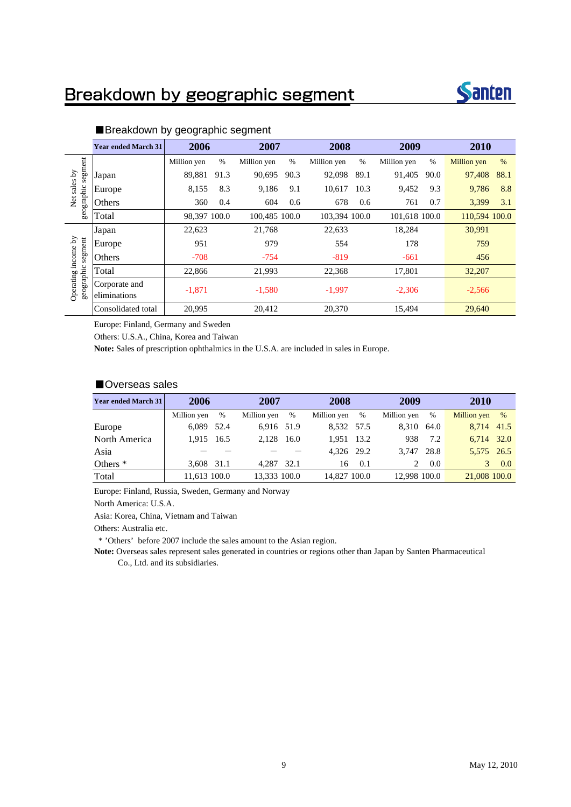### Breakdown by geographic segment



|                                   | <b>Year ended March 31</b>    | 2006         |      | 2007          |      | 2008          |      | 2009          |      | 2010          |      |
|-----------------------------------|-------------------------------|--------------|------|---------------|------|---------------|------|---------------|------|---------------|------|
|                                   |                               | Million yen  | $\%$ | Million yen   | $\%$ | Million yen   | %    | Million yen   | $\%$ | Million yen   | $\%$ |
| segment                           | Japan                         | 89,881       | 91.3 | 90,695        | 90.3 | 92,098        | 89.1 | 91,405        | 90.0 | 97,408        | 88.1 |
| sales by                          | Europe                        | 8,155        | 8.3  | 9,186         | 9.1  | 10,617        | 10.3 | 9,452         | 9.3  | 9,786         | 8.8  |
| geographic<br>Net                 | Others                        | 360          | 0.4  | 604           | 0.6  | 678           | 0.6  | 761           | 0.7  | 3,399         | 3.1  |
|                                   | Total                         | 98,397 100.0 |      | 100,485 100.0 |      | 103,394 100.0 |      | 101,618 100.0 |      | 110,594 100.0 |      |
|                                   | Japan                         | 22,623       |      | 21,768        |      | 22,633        |      | 18,284        |      | 30,991        |      |
| segment                           | Europe                        | 951          |      | 979           |      | 554           |      | 178           |      | 759           |      |
|                                   | Others                        | $-708$       |      | $-754$        |      | $-819$        |      | $-661$        |      | 456           |      |
|                                   | Total                         | 22,866       |      | 21,993        |      | 22,368        |      | 17,801        |      | 32,207        |      |
| Operating income by<br>geographic | Corporate and<br>eliminations | $-1,871$     |      | $-1,580$      |      | $-1,997$      |      | $-2,306$      |      | $-2,566$      |      |
|                                   | Consolidated total            | 20,995       |      | 20,412        |      | 20,370        |      | 15,494        |      | 29,640        |      |

#### ■Breakdown by geographic segment

Europe: Finland, Germany and Sweden

Others: U.S.A., China, Korea and Taiwan

**Note:** Sales of prescription ophthalmics in the U.S.A. are included in sales in Europe.

#### ■Overseas sales

| <b>Year ended March 31</b> | 2006         |      |              | 2007 |              | 2008 |              | 2009 |              | 2010 |  |
|----------------------------|--------------|------|--------------|------|--------------|------|--------------|------|--------------|------|--|
|                            | Million yen  | %    | Million yen  | $\%$ | Million yen  | %    | Million yen  | $\%$ | Million yen  | $\%$ |  |
| Europe                     | 6.089        | 52.4 | 6.916 51.9   |      | 8.532 57.5   |      | 8.310        | 64.0 | 8.714 41.5   |      |  |
| North America              | 1.915 16.5   |      | 2.128        | 16.0 | 1.951        | 13.2 | 938          | 7.2  | 6.714 32.0   |      |  |
| Asia                       |              |      |              |      | 4.326 29.2   |      | 3.747        | 28.8 | 5,575 26.5   |      |  |
| Others <sup>*</sup>        | 3.608 31.1   |      | 4.287        | 32.1 | 16           | 0.1  |              | 0.0  | 3            | 0.0  |  |
| Total                      | 11.613 100.0 |      | 13.333 100.0 |      | 14,827 100.0 |      | 12,998 100.0 |      | 21,008 100.0 |      |  |

Europe: Finland, Russia, Sweden, Germany and Norway

North America: U.S.A.

Asia: Korea, China, Vietnam and Taiwan

Others: Australia etc.

\* 'Others' before 2007 include the sales amount to the Asian region.

**Note:** Overseas sales represent sales generated in countries or regions other than Japan by Santen Pharmaceutical Co., Ltd. and its subsidiaries.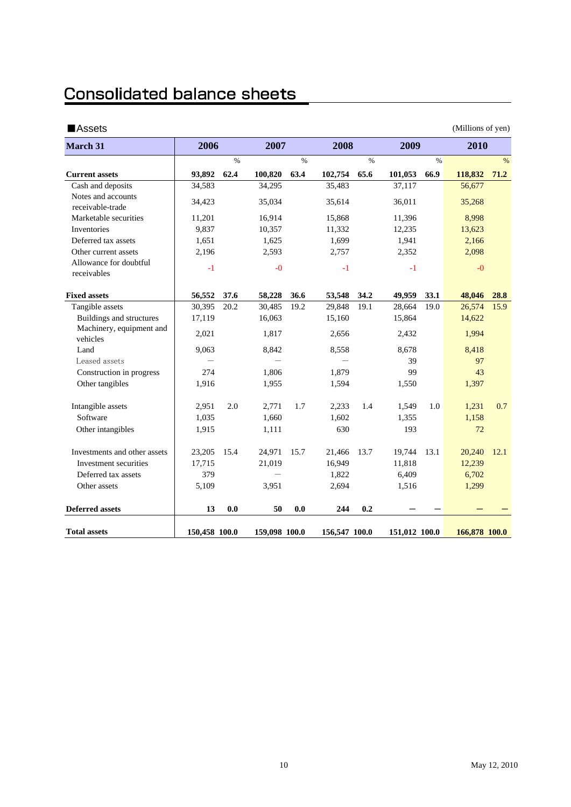### **Consolidated balance sheets**

| ■Assets                                |               |               |               |               |               |               |               |               | (Millions of yen) |               |
|----------------------------------------|---------------|---------------|---------------|---------------|---------------|---------------|---------------|---------------|-------------------|---------------|
| <b>March 31</b>                        | 2006          |               | 2007          |               | 2008          |               | 2009          |               | 2010              |               |
|                                        |               | $\frac{0}{0}$ |               | $\frac{0}{0}$ |               | $\frac{0}{0}$ |               | $\frac{0}{0}$ |                   | $\frac{0}{0}$ |
| <b>Current assets</b>                  | 93,892        | 62.4          | 100,820       | 63.4          | 102,754       | 65.6          | 101,053       | 66.9          | 118,832           | 71.2          |
| Cash and deposits                      | 34,583        |               | 34,295        |               | 35,483        |               | 37,117        |               | 56,677            |               |
| Notes and accounts<br>receivable-trade | 34,423        |               | 35,034        |               | 35,614        |               | 36,011        |               | 35,268            |               |
| Marketable securities                  | 11,201        |               | 16,914        |               | 15,868        |               | 11,396        |               | 8,998             |               |
| Inventories                            | 9,837         |               | 10,357        |               | 11,332        |               | 12,235        |               | 13,623            |               |
| Deferred tax assets                    | 1,651         |               | 1,625         |               | 1,699         |               | 1,941         |               | 2,166             |               |
| Other current assets                   | 2,196         |               | 2,593         |               | 2,757         |               | 2,352         |               | 2,098             |               |
| Allowance for doubtful<br>receivables  | $-1$          |               | $-0$          |               | $-1$          |               | $-1$          |               | $-0$              |               |
| <b>Fixed assets</b>                    | 56,552        | 37.6          | 58,228        | 36.6          | 53,548        | 34.2          | 49,959        | 33.1          | 48,046            | 28.8          |
| Tangible assets                        | 30,395        | 20.2          | 30,485        | 19.2          | 29,848        | 19.1          | 28,664        | 19.0          | 26,574            | 15.9          |
| Buildings and structures               | 17,119        |               | 16,063        |               | 15,160        |               | 15,864        |               | 14,622            |               |
| Machinery, equipment and<br>vehicles   | 2,021         |               | 1,817         |               | 2,656         |               | 2,432         |               | 1,994             |               |
| Land                                   | 9,063         |               | 8,842         |               | 8,558         |               | 8,678         |               | 8,418             |               |
| Leased assets                          |               |               |               |               | $\equiv$      |               | 39            |               | 97                |               |
| Construction in progress               | 274           |               | 1,806         |               | 1,879         |               | 99            |               | 43                |               |
| Other tangibles                        | 1,916         |               | 1,955         |               | 1,594         |               | 1,550         |               | 1,397             |               |
| Intangible assets                      | 2,951         | 2.0           | 2,771         | 1.7           | 2,233         | 1.4           | 1,549         | 1.0           | 1,231             | 0.7           |
| Software                               | 1,035         |               | 1,660         |               | 1,602         |               | 1,355         |               | 1,158             |               |
| Other intangibles                      | 1,915         |               | 1,111         |               | 630           |               | 193           |               | 72                |               |
| Investments and other assets           | 23,205        | 15.4          | 24,971        | 15.7          | 21,466        | 13.7          | 19,744        | 13.1          | 20,240            | 12.1          |
| Investment securities                  | 17,715        |               | 21,019        |               | 16,949        |               | 11,818        |               | 12,239            |               |
| Deferred tax assets                    | 379           |               |               |               | 1,822         |               | 6,409         |               | 6,702             |               |
| Other assets                           | 5,109         |               | 3,951         |               | 2,694         |               | 1,516         |               | 1,299             |               |
| <b>Deferred assets</b>                 | 13            | 0.0           | 50            | 0.0           | 244           | 0.2           |               |               |                   |               |
| <b>Total assets</b>                    | 150,458 100.0 |               | 159,098 100.0 |               | 156,547 100.0 |               | 151,012 100.0 |               | 166,878 100.0     |               |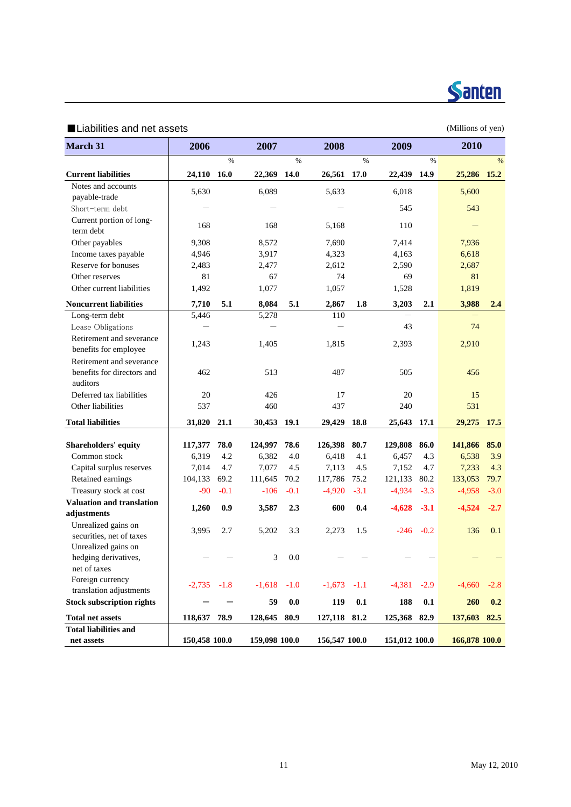

#### ■Liabilities and net assets (Millions of yen)

| March 31                                          | 2006             |             | 2007             |             | 2008             |             | 2009             |             | 2010             |        |
|---------------------------------------------------|------------------|-------------|------------------|-------------|------------------|-------------|------------------|-------------|------------------|--------|
|                                                   |                  | $\%$        |                  | $\%$        |                  | $\%$        |                  | $\%$        |                  | %      |
| <b>Current liabilities</b>                        | 24,110 16.0      |             | 22,369           | <b>14.0</b> | 26,561           | 17.0        | 22,439 14.9      |             | 25,286 15.2      |        |
| Notes and accounts                                | 5,630            |             | 6,089            |             | 5,633            |             | 6,018            |             | 5,600            |        |
| payable-trade                                     |                  |             |                  |             |                  |             |                  |             |                  |        |
| Short-term debt                                   |                  |             |                  |             |                  |             | 545              |             | 543              |        |
| Current portion of long-<br>term debt             | 168              |             | 168              |             | 5,168            |             | 110              |             |                  |        |
| Other payables                                    | 9,308            |             | 8,572            |             | 7,690            |             | 7,414            |             | 7,936            |        |
| Income taxes payable                              | 4,946            |             | 3,917            |             | 4,323            |             | 4,163            |             | 6,618            |        |
| Reserve for bonuses                               | 2,483            |             | 2,477            |             | 2,612            |             | 2,590            |             | 2,687            |        |
| Other reserves                                    | 81               |             | 67               |             | 74               |             | 69               |             | 81               |        |
| Other current liabilities                         | 1,492            |             | 1,077            |             | 1,057            |             | 1,528            |             | 1,819            |        |
| <b>Noncurrent liabilities</b>                     | 7,710            | 5.1         | 8,084            | 5.1         | 2,867            | 1.8         | 3,203            | 2.1         | 3,988            | 2.4    |
| Long-term debt                                    | 5,446            |             | 5,278            |             | 110              |             |                  |             |                  |        |
| Lease Obligations                                 |                  |             |                  |             |                  |             | 43               |             | 74               |        |
| Retirement and severance<br>benefits for employee | 1,243            |             | 1,405            |             | 1,815            |             | 2,393            |             | 2,910            |        |
| Retirement and severance                          |                  |             |                  |             |                  |             |                  |             |                  |        |
| benefits for directors and<br>auditors            | 462              |             | 513              |             | 487              |             | 505              |             | 456              |        |
| Deferred tax liabilities                          | 20               |             | 426              |             | 17               |             | 20               |             | 15               |        |
| Other liabilities                                 | 537              |             | 460              |             | 437              |             | 240              |             | 531              |        |
| <b>Total liabilities</b>                          | 31,820           | 21.1        | 30,453 19.1      |             | 29,429           | 18.8        | 25,643 17.1      |             | 29,275           | 17.5   |
|                                                   |                  |             |                  |             |                  |             |                  |             |                  | 85.0   |
| Shareholders' equity<br>Common stock              | 117,377<br>6,319 | 78.0<br>4.2 | 124,997<br>6,382 | 78.6<br>4.0 | 126,398<br>6,418 | 80.7<br>4.1 | 129,808<br>6,457 | 86.0<br>4.3 | 141,866<br>6,538 | 3.9    |
|                                                   |                  |             |                  |             |                  |             |                  |             |                  |        |
| Capital surplus reserves                          | 7,014            | 4.7         | 7,077            | 4.5         | 7,113            | 4.5         | 7,152            | 4.7         | 7,233            | 4.3    |
| Retained earnings                                 | 104,133          | 69.2        | 111,645          | 70.2        | 117,786          | 75.2        | 121,133          | 80.2        | 133,053          | 79.7   |
| Treasury stock at cost                            | $-90$            | $-0.1$      | $-106$           | $-0.1$      | $-4,920$         | $-3.1$      | $-4,934$         | $-3.3$      | $-4,958$         | $-3.0$ |
| <b>Valuation and translation</b><br>adjustments   | 1,260            | 0.9         | 3,587            | 2.3         | 600              | 0.4         | $-4,628$         | $-3.1$      | $-4,524$         | $-2.7$ |
| Unrealized gains on<br>securities, net of taxes   | 3,995            | 2.7         | 5,202            | 3.3         | 2,273            | 1.5         | $-246$           | $-0.2$      | 136              | 0.1    |
| Unrealized gains on                               |                  |             |                  |             |                  |             |                  |             |                  |        |
| hedging derivatives,                              |                  |             | 3                | 0.0         |                  |             |                  |             |                  |        |
| net of taxes                                      |                  |             |                  |             |                  |             |                  |             |                  |        |
| Foreign currency                                  | $-2,735 -1.8$    |             | $-1,618 -1.0$    |             | $-1,673$         | $-1.1$      | $-4,381$         | $-2.9$      | $-4,660$         | $-2.8$ |
| translation adjustments                           |                  |             |                  |             |                  |             |                  |             |                  |        |
| <b>Stock subscription rights</b>                  |                  |             | 59               | $0.0\,$     | 119              | $0.1\,$     | 188              | 0.1         | 260              | 0.2    |
| <b>Total net assets</b>                           | 118,637 78.9     |             | 128,645 80.9     |             | 127,118 81.2     |             | 125,368 82.9     |             | 137,603 82.5     |        |
| <b>Total liabilities and</b>                      |                  |             |                  |             |                  |             |                  |             |                  |        |
| net assets                                        | 150,458 100.0    |             | 159,098 100.0    |             | 156,547 100.0    |             | 151,012 100.0    |             | 166,878 100.0    |        |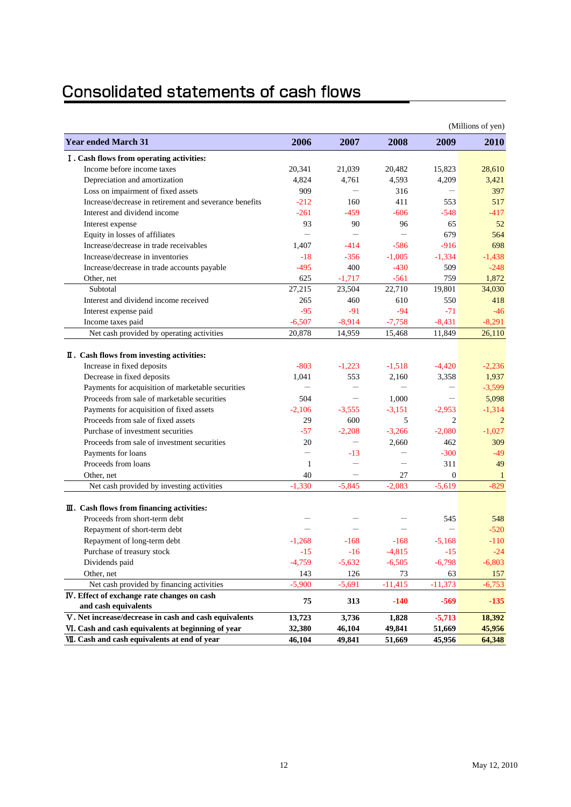### **Consolidated statements of cash flows**

|                                                        |                          |                          |                          |                                  | (Millions of yen) |
|--------------------------------------------------------|--------------------------|--------------------------|--------------------------|----------------------------------|-------------------|
| <b>Year ended March 31</b>                             | 2006                     | 2007                     | 2008                     | 2009                             | <b>2010</b>       |
| I. Cash flows from operating activities:               |                          |                          |                          |                                  |                   |
| Income before income taxes                             | 20,341                   | 21,039                   | 20,482                   | 15.823                           | 28,610            |
| Depreciation and amortization                          | 4,824                    | 4,761                    | 4,593                    | 4,209                            | 3,421             |
| Loss on impairment of fixed assets                     | 909                      |                          | 316                      |                                  | 397               |
| Increase/decrease in retirement and severance benefits | $-212$                   | 160                      | 411                      | 553                              | 517               |
| Interest and dividend income                           | $-261$                   | $-459$                   | $-606$                   | $-548$                           | $-417$            |
| Interest expense                                       | 93                       | 90                       | 96                       | 65                               | 52                |
| Equity in losses of affiliates                         |                          | $\overline{\phantom{0}}$ |                          | 679                              | 564               |
| Increase/decrease in trade receivables                 | 1,407                    | $-414$                   | $-586$                   | $-916$                           | 698               |
| Increase/decrease in inventories                       | $-18$                    | $-356$                   | $-1,005$                 | $-1,334$                         | $-1,438$          |
| Increase/decrease in trade accounts payable            | $-495$                   | 400                      | $-430$                   | 509                              | $-248$            |
| Other, net                                             | 625                      | $-1,717$                 | $-561$                   | 759                              | 1,872             |
| Subtotal                                               | 27,215                   | 23,504                   | 22,710                   | 19,801                           | 34,030            |
| Interest and dividend income received                  | 265                      | 460                      | 610                      | 550                              | 418               |
| Interest expense paid                                  | $-95$                    | $-91$                    | $-94$                    | $-71$                            | $-46$             |
| Income taxes paid                                      | $-6,507$                 | $-8,914$                 | $-7,758$                 | $-8,431$                         | $-8,291$          |
| Net cash provided by operating activities              | 20,878                   | 14,959                   | 15,468                   | 11,849                           | 26,110            |
|                                                        |                          |                          |                          |                                  |                   |
| II. Cash flows from investing activities:              |                          |                          |                          |                                  |                   |
| Increase in fixed deposits                             | $-803$                   | $-1,223$                 | $-1,518$                 | $-4,420$                         | $-2,236$          |
| Decrease in fixed deposits                             | 1,041                    | 553                      | 2,160                    | 3,358                            | 1,937             |
| Payments for acquisition of marketable securities      | $\overline{\phantom{0}}$ | —                        | $\overline{\phantom{0}}$ | $\overbrace{\phantom{12322111}}$ | $-3,599$          |
| Proceeds from sale of marketable securities            | 504                      | $\overline{\phantom{m}}$ | 1,000                    | $\overline{\phantom{m}}$         | 5,098             |
| Payments for acquisition of fixed assets               | $-2,106$                 | $-3.555$                 | $-3,151$                 | $-2,953$                         | $-1,314$          |
| Proceeds from sale of fixed assets                     | 29                       | 600                      | 5                        | $\overline{2}$                   | 2                 |
| Purchase of investment securities                      | $-57$                    | $-2,208$                 | $-3,266$                 | $-2,080$                         | $-1.027$          |
| Proceeds from sale of investment securities            | 20                       | $\overline{\phantom{0}}$ | 2,660                    | 462                              | 309               |
| Payments for loans                                     | $\overline{\phantom{0}}$ | $-13$                    | $\overline{\phantom{0}}$ | $-300$                           | $-49$             |
| Proceeds from loans                                    | 1                        |                          |                          | 311                              | 49                |
| Other, net                                             | 40                       |                          | 27                       | $\overline{0}$                   | 1                 |
| Net cash provided by investing activities              | $-1,330$                 | $-5,845$                 | $-2.083$                 | $-5,619$                         | $-829$            |
| $\mathbf{I}$ . Cash flows from financing activities:   |                          |                          |                          |                                  |                   |
| Proceeds from short-term debt                          |                          |                          |                          | 545                              | 548               |
| Repayment of short-term debt                           |                          |                          |                          |                                  | $-520$            |
| Repayment of long-term debt                            | $-1,268$                 | $-168$                   | $-168$                   | $-5,168$                         | $-110$            |
| Purchase of treasury stock                             | $-15$                    | $-16$                    | $-4,815$                 | $-15$                            | $-24$             |
| Dividends paid                                         | $-4,759$                 | $-5,632$                 | $-6,505$                 | $-6,798$                         | $-6,803$          |
| Other, net                                             | 143                      | 126                      | 73                       | 63                               | 157               |
| Net cash provided by financing activities              | $-5,900$                 | $-5,691$                 | $-11,415$                | $-11,373$                        | $-6,753$          |
| IV. Effect of exchange rate changes on cash            |                          |                          |                          |                                  |                   |
| and cash equivalents                                   | 75                       | 313                      | $-140$                   | $-569$                           | $-135$            |
| V. Net increase/decrease in cash and cash equivalents  | 13,723                   | 3,736                    | 1,828                    | $-5,713$                         | 18,392            |
| VI. Cash and cash equivalents at beginning of year     | 32,380                   | 46,104                   | 49,841                   | 51,669                           | 45,956            |
| VII. Cash and cash equivalents at end of year          | 46,104                   | 49,841                   | 51,669                   | 45,956                           | 64,348            |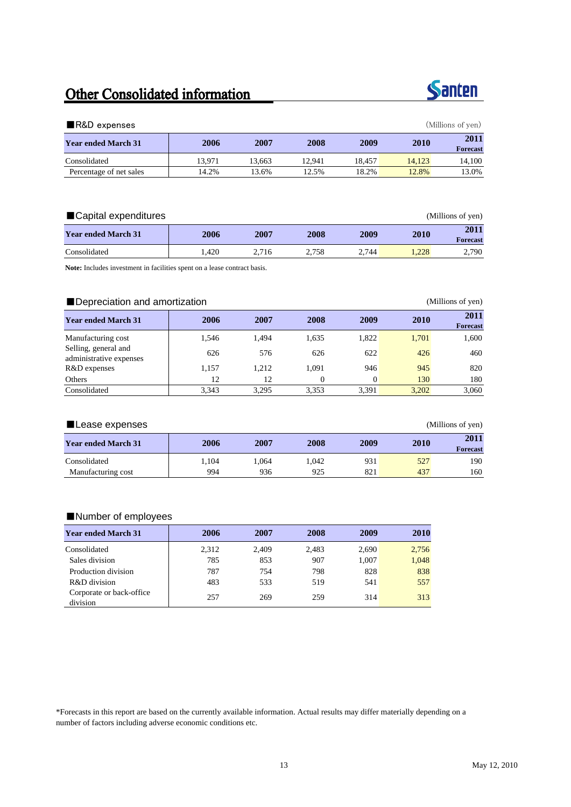### Other Consolidated information



| $\blacksquare$ R&D expenses |        |        |        |        |             | (Millions of yen)       |
|-----------------------------|--------|--------|--------|--------|-------------|-------------------------|
| <b>Year ended March 31</b>  | 2006   | 2007   | 2008   | 2009   | <b>2010</b> | 2011<br><b>Forecast</b> |
| Consolidated                | 13.971 | 13.663 | 12.941 | 18.457 | 14.123      | 14.100                  |
| Percentage of net sales     | 14.2%  | 13.6%  | 12.5%  | 18.2%  | 12.8%       | 13.0%                   |

| ■ Capital expenditures     |      | (Millions of yen) |       |       |       |                         |
|----------------------------|------|-------------------|-------|-------|-------|-------------------------|
| <b>Year ended March 31</b> | 2006 | 2007              | 2008  | 2009  | 2010  | 2011<br><b>Forecast</b> |
| Consolidated               | .420 | 2.716             | 2.758 | 2.744 | 1.228 | 2,790                   |

**Note:** Includes investment in facilities spent on a lease contract basis.

#### ■Depreciation and amortization (Millions of yen)

| <b>Year ended March 31</b>                      | 2006  | 2007  | 2008     | 2009  | 2010  | 2011<br><b>Forecast</b> |
|-------------------------------------------------|-------|-------|----------|-------|-------|-------------------------|
| Manufacturing cost                              | 1.546 | 1.494 | 1,635    | 1.822 | 1.701 | 1,600                   |
| Selling, general and<br>administrative expenses | 626   | 576   | 626      | 622   | 426   | 460                     |
| R&D expenses                                    | 1.157 | 1.212 | 1.091    | 946   | 945   | 820                     |
| Others                                          | 12    | 12    | $\Omega$ |       | 130   | 180                     |
| Consolidated                                    | 3.343 | 3.295 | 3.353    | 3,391 | 3.202 | 3,060                   |

#### ■ Lease expenses (Millions of yen)

| <b>Year ended March 31</b> | 2006 | 2007<br>2008 |       | 2009 | 2010 | 2011            |
|----------------------------|------|--------------|-------|------|------|-----------------|
|                            |      |              |       |      |      | <b>Forecast</b> |
| Consolidated               | .104 | .064         | 1.042 | 931  | 527  | 190             |
| Manufacturing cost         | 994  | 936          | 925   | 821  | 437  | 160             |

#### ■Number of employees

| <b>Year ended March 31</b>           | 2006  | 2007  | 2008  | 2009  | 2010  |
|--------------------------------------|-------|-------|-------|-------|-------|
| Consolidated                         | 2,312 | 2,409 | 2.483 | 2,690 | 2,756 |
| Sales division                       | 785   | 853   | 907   | 1.007 | 1,048 |
| Production division                  | 787   | 754   | 798   | 828   | 838   |
| R&D division                         | 483   | 533   | 519   | 541   | 557   |
| Corporate or back-office<br>division | 257   | 269   | 259   | 314   | 313   |

\*Forecasts in this report are based on the currently available information. Actual results may differ materially depending on a number of factors including adverse economic conditions etc.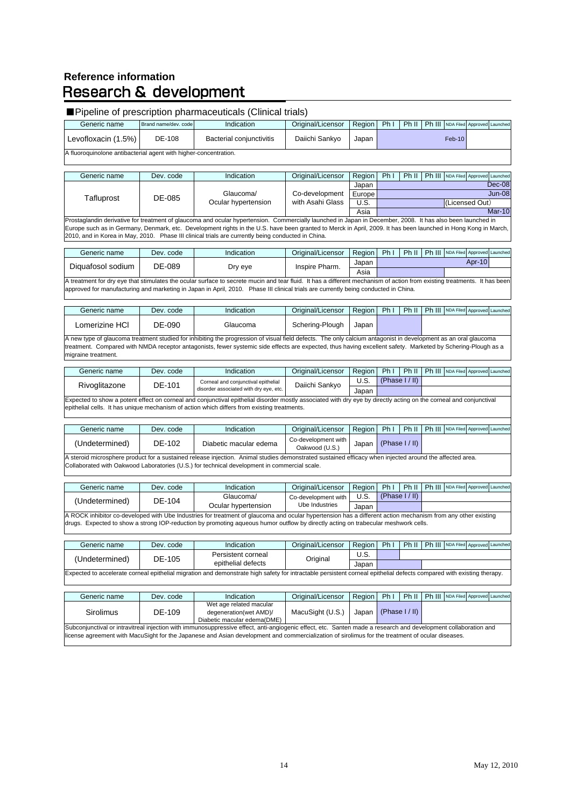#### **Reference information Research & development**

#### ■ Pipeline of prescription pharmaceuticals (Clinical trials)

| Generic name                                                     | Brand name/dev, code | Indication               | Original/Licensor | <b>Region</b> | - Ph i |  | Ph III NDA Filed Approved Launched |  |  |  |
|------------------------------------------------------------------|----------------------|--------------------------|-------------------|---------------|--------|--|------------------------------------|--|--|--|
| Levofloxacin (1.5%)                                              | DE-108               | Bacterial coniunctivitis | Daiichi Sankvo    | Japan         |        |  | $Feb-10$                           |  |  |  |
| A fluoroquinolone antibacterial agent with higher-concentration. |                      |                          |                   |               |        |  |                                    |  |  |  |

| Generic name | Dev. code | Indication          | Original/Licensor | Region | Ph <sub>1</sub> | Ph II          |  | Ph III NDA Filed Approved Launched |  |          |
|--------------|-----------|---------------------|-------------------|--------|-----------------|----------------|--|------------------------------------|--|----------|
|              |           |                     |                   |        |                 |                |  |                                    |  |          |
|              |           |                     |                   | Japan  |                 |                |  |                                    |  | $Dec-08$ |
| Tafluprost   | DE-085    | Glaucoma/           | Co-development    | Europe |                 |                |  |                                    |  | Jun-08   |
|              |           | Ocular hypertension | with Asahi Glass  | U.S.   |                 | (Licensed Out) |  |                                    |  |          |
|              |           |                     |                   | Asia   |                 |                |  |                                    |  | Mar-10   |

Asia | Prostaglandin derivative for treatment of glaucoma and ocular hypertension. Commercially launched in Japan in December, 2008. It has also been launched in Europe such as in Germany, Denmark, etc. Development rights in the U.S. have been granted to Merck in April, 2009. It has been launched in Hong Kong in March, 2010, and in Korea in May, 2010. Phase III clinical trials are currently being conducted in China.

| Generic name                                                                                                                                                                                                                  | Dev. code | Indication | Original/Licensor | Region i | <b>Ph</b> | Ph II |  | Ph III NDA Filed Approved Launched |        |  |
|-------------------------------------------------------------------------------------------------------------------------------------------------------------------------------------------------------------------------------|-----------|------------|-------------------|----------|-----------|-------|--|------------------------------------|--------|--|
| Diguafosol sodium                                                                                                                                                                                                             |           | Dry eye    | Inspire Pharm.    | Japar    |           |       |  |                                    | Apr-10 |  |
|                                                                                                                                                                                                                               | DE-089    |            |                   | Asia     |           |       |  |                                    |        |  |
| A treatment for the constitution has been contracted as a constraint of the constitution of a college of a starter of a state of the second contract of the second of the second of the second of the second of the second of |           |            |                   |          |           |       |  |                                    |        |  |

A treatment for dry eye that stimulates the ocular surface to secrete mucin and tear fluid. It has a different mechanism of action from existing treatments. It has b approved for manufacturing and marketing in Japan in April, 2010. Phase III clinical trials are currently being conducted in China.

| Generic name                                                                                                                                                                                                                                                                                                                    | Dev. code | Ph III NDA Filed Approved Launched<br>Ph II<br>Ph <sub>1</sub><br>Original/Licensor<br>Region  <br>Indication |                 |       |  |  |  |  |  |  |  |  |
|---------------------------------------------------------------------------------------------------------------------------------------------------------------------------------------------------------------------------------------------------------------------------------------------------------------------------------|-----------|---------------------------------------------------------------------------------------------------------------|-----------------|-------|--|--|--|--|--|--|--|--|
| Lomerizine HCl                                                                                                                                                                                                                                                                                                                  | DE-090    | Glaucoma                                                                                                      | Schering-Plough | Japan |  |  |  |  |  |  |  |  |
| A new type of glaucoma treatment studied for inhibiting the progression of visual field defects. The only calcium antagonist in development as an oral glaucoma<br>treatment. Compared with NMDA receptor antagonists, fewer systemic side effects are expected, thus having excellent safety. Marketed by Schering-Plough as a |           |                                                                                                               |                 |       |  |  |  |  |  |  |  |  |
| migraine treatment.                                                                                                                                                                                                                                                                                                             |           |                                                                                                               |                 |       |  |  |  |  |  |  |  |  |

| Generic name  | Dev. code                                                                                                                                                          | Indication                                                                                  | Original/Licensor | Region | Ph | Ph II          |  | Ph III NDA Filed Approved Launched |  |  |  |  |
|---------------|--------------------------------------------------------------------------------------------------------------------------------------------------------------------|---------------------------------------------------------------------------------------------|-------------------|--------|----|----------------|--|------------------------------------|--|--|--|--|
| Rivoglitazone | DE-101                                                                                                                                                             | Corneal and conjunctival epithelial                                                         | Daiichi Sankyo    | U.S.   |    | (Phase I / II) |  |                                    |  |  |  |  |
|               |                                                                                                                                                                    | disorder associated with dry eye, etc.                                                      |                   | Japan  |    |                |  |                                    |  |  |  |  |
|               | Expected to show a potent effect on corneal and conjunctival epithelial disorder mostly associated with dry eye by directly acting on the corneal and conjunctival |                                                                                             |                   |        |    |                |  |                                    |  |  |  |  |
|               |                                                                                                                                                                    | epithelial cells. It has unique mechanism of action which differs from existing treatments. |                   |        |    |                |  |                                    |  |  |  |  |

| Generic name   | Dev. code | Indication                                                                                                                                | Original/Licensor                     | Region | Ph1 | Ph II          | Ph III NDA Filed Approved Launched |  |
|----------------|-----------|-------------------------------------------------------------------------------------------------------------------------------------------|---------------------------------------|--------|-----|----------------|------------------------------------|--|
| (Undetermined) | DE-102    | Diabetic macular edema                                                                                                                    | Co-development with<br>Oakwood (U.S.) | Japan  |     | (Phase I / II) |                                    |  |
|                |           | A straighed second completed the member of class island and concluded and control control office and integral second the official mode of |                                       |        |     |                |                                    |  |

A steroid microsphere product for a sustained release injection. Animal studies demonstrated sustained efficacy when injected around the affected area. Collaborated with Oakwood Laboratories (U.S.) for technical development in commercial scale.

drugs. Expected to show a strong IOP-reduction by promoting aqueous humor outflow by directly acting on trabecular meshwork cells.

| Generic name                                                                                                                                                 | Dev. code | Indication          | Original/Licensor   | Region | -Ph I | Ph II          |  | Ph III NDA Filed Approved Launched |  |  |  |
|--------------------------------------------------------------------------------------------------------------------------------------------------------------|-----------|---------------------|---------------------|--------|-------|----------------|--|------------------------------------|--|--|--|
|                                                                                                                                                              | DE-104    | Glaucoma/           | Co-development with | U.S.   |       | (Phase I / II) |  |                                    |  |  |  |
| (Undetermined)                                                                                                                                               |           | Ocular hypertension | Ube Industries      | Japan  |       |                |  |                                    |  |  |  |
| A ROCK inhibitor co-developed with Ube Industries for treatment of glaucoma and ocular hypertension has a different action mechanism from any other existing |           |                     |                     |        |       |                |  |                                    |  |  |  |

Generic name Dev. code Indication Original/Licensor Region Ph I Ph II Ph III NDA Filed Approved Launche U.S. Japan (Undetermined) DE-105 Persistent corneal Persistent corneal Corneal Corneal Corneal Corneal Corneal Corneal Corneal Corneal Corneal Corneal Corneal Corneal Corneal Corneal Corneal Corneal Corneal Corneal Corneal Corneal Corneal Corneal Corneal Corneal Corneal Cor

| Expected to accelerate corneal epithelial migration and demonstrate high safety for intractable persistent corneal epithelial defects compared with existing therapy. |                                                                                                                                                                |            |                   |        |      |  |                                                |  |  |  |  |  |  |  |
|-----------------------------------------------------------------------------------------------------------------------------------------------------------------------|----------------------------------------------------------------------------------------------------------------------------------------------------------------|------------|-------------------|--------|------|--|------------------------------------------------|--|--|--|--|--|--|--|
|                                                                                                                                                                       |                                                                                                                                                                |            |                   |        |      |  |                                                |  |  |  |  |  |  |  |
| Generic name                                                                                                                                                          | Dev. code                                                                                                                                                      | Indication | Original/Licensor | Region | Phil |  | Ph II   Ph III   NDA Filed   Approved Launched |  |  |  |  |  |  |  |
| <b>Sirolimus</b>                                                                                                                                                      | Wet age related macular<br>(Phase $I/II$ )<br>DE-109<br>MacuSight (U.S.)<br>degeneration(wet AMD)/<br>Japan<br>Diabetic macular edema(DME)                     |            |                   |        |      |  |                                                |  |  |  |  |  |  |  |
|                                                                                                                                                                       | Subconjunctival or intravitreal injection with immunosuppressive effect, anti-angiogenic effect, etc. Santen made a research and development collaboration and |            |                   |        |      |  |                                                |  |  |  |  |  |  |  |

license agreement with MacuSight for the Japanese and Asian development and commercialization of sirolimus for the treatment of ocular diseases.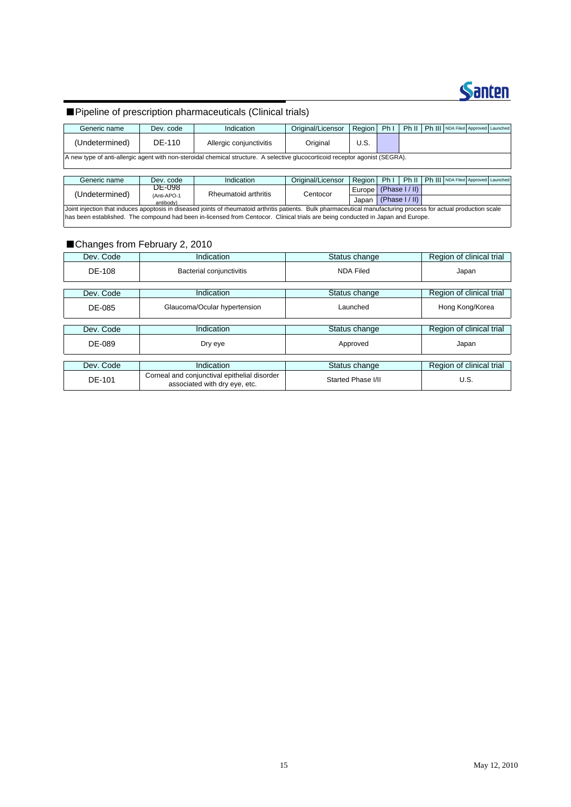

#### ■Pipeline of prescription pharmaceuticals (Clinical trials)

| Generic name   | Dev. code | Indication                                                                                                                    | Original/Licensor | Region | Ph <sub>1</sub> |  | Ph II   Ph III   NDA Filed   Approved   Launched |  |
|----------------|-----------|-------------------------------------------------------------------------------------------------------------------------------|-------------------|--------|-----------------|--|--------------------------------------------------|--|
| (Undetermined) | DE-110    | Allergic conjunctivitis                                                                                                       | Original          | U.S.   |                 |  |                                                  |  |
|                |           | A new type of anti-allergic agent with non-steroidal chemical structure. A selective glucocorticoid receptor agonist (SEGRA). |                   |        |                 |  |                                                  |  |

| Generic name                                                                                                                    | Dev. code                | Indication                                                                                                                                                        | Original/Licensor | Region                     | Phil |                |  | Ph II   Ph III   NDA Filed   Approved   Launched |  |  |  |
|---------------------------------------------------------------------------------------------------------------------------------|--------------------------|-------------------------------------------------------------------------------------------------------------------------------------------------------------------|-------------------|----------------------------|------|----------------|--|--------------------------------------------------|--|--|--|
| (Undetermined)                                                                                                                  | DE-098                   | Rheumatoid arthritis                                                                                                                                              | Centocor          | Europe $ $ (Phase $1/$ II) |      |                |  |                                                  |  |  |  |
|                                                                                                                                 | (Anti-APO-1<br>antibody) |                                                                                                                                                                   |                   | Japan                      |      | (Phase I / II) |  |                                                  |  |  |  |
|                                                                                                                                 |                          | Joint injection that induces apoptosis in diseased joints of rheumatoid arthritis patients. Bulk pharmaceutical manufacturing process for actual production scale |                   |                            |      |                |  |                                                  |  |  |  |
| has been established. The compound had been in-licensed from Centocor. Clinical trials are being conducted in Japan and Europe. |                          |                                                                                                                                                                   |                   |                            |      |                |  |                                                  |  |  |  |

#### ■Changes from February 2, 2010

| Dev. Code     | Indication                                                                    | Status change      | Region of clinical trial |
|---------------|-------------------------------------------------------------------------------|--------------------|--------------------------|
| DE-108        | Bacterial conjunctivitis                                                      | <b>NDA Filed</b>   | Japan                    |
| Dev. Code     | Indication                                                                    | Status change      | Region of clinical trial |
| DE-085        | Glaucoma/Ocular hypertension                                                  | Launched           | Hong Kong/Korea          |
|               |                                                                               |                    |                          |
| Dev. Code     | Indication                                                                    | Status change      | Region of clinical trial |
| DE-089        | Dry eye                                                                       | Approved           | Japan                    |
|               |                                                                               |                    |                          |
| Dev. Code     | Indication                                                                    | Status change      | Region of clinical trial |
| <b>DE-101</b> | Corneal and conjunctival epithelial disorder<br>associated with dry eye, etc. | Started Phase I/II | U.S.                     |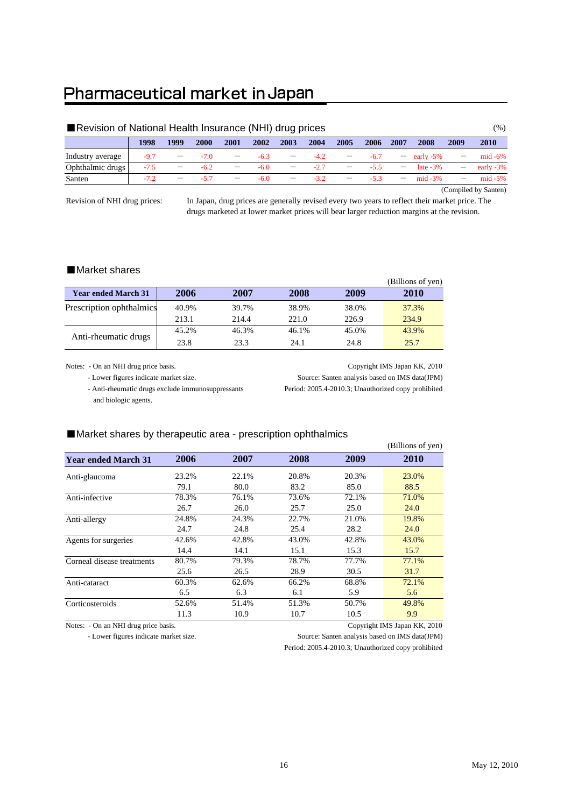### Pharmaceutical market in Japan

| Revision of National Health Insurance (NHI) drug prices |        |      |        |      |        |                          |        |      |        |      |               |      | $( \% )$     |
|---------------------------------------------------------|--------|------|--------|------|--------|--------------------------|--------|------|--------|------|---------------|------|--------------|
|                                                         | 1998   | 1999 | 2000   | 2001 | 2002   | 2003                     | 2004   | 2005 | 2006   | 2007 | 2008          | 2009 | 2010         |
| Industry average                                        | $-97$  |      | $-70$  |      | $-6.3$ |                          |        |      | $-6.7$ |      | $-$ early -5% |      | $mid -6\%$   |
| Ophthalmic drugs                                        | $-7.5$ |      | $-6.2$ |      | $-6.0$ | $\overline{\phantom{m}}$ | $-2.7$ |      | $-5.5$ |      | late $-3\%$   |      | early $-3\%$ |
| Santen                                                  | $-72$  |      |        |      | $-6.0$ |                          | $-32$  |      | $-53$  |      | $mid -3%$     |      | mid $-5\%$   |

(Compiled by Santen)

Revision of NHI drug prices:

In Japan, drug prices are generally revised every two years to reflect their market price. The drugs marketed at lower market prices will bear larger reduction margins at the revision.

#### ■Market shares

|                            |                              |       |       |       | (Billions of yen) |
|----------------------------|------------------------------|-------|-------|-------|-------------------|
| <b>Year ended March 31</b> | 2006                         | 2007  | 2008  | 2009  | 2010              |
| Prescription ophthalmics   | 40.9%                        | 39.7% | 38.9% | 38.0% | 37.3%             |
|                            | 213.1                        | 214.4 | 221.0 | 226.9 | 234.9             |
|                            | 45.2%                        | 46.3% | 46.1% | 45.0% | 43.9%             |
|                            | Anti-rheumatic drugs<br>23.8 | 23.3  | 24.1  | 24.8  | 25.7              |

 - Anti-rheumatic drugs exclude immunosuppressants Period: 2005.4-2010.3; Unauthorized copy prohibited and biologic agents.

Notes: - On an NHI drug price basis. Copyright IMS Japan KK, 2010 - Lower figures indicate market size. Source: Santen analysis based on IMS data(JPM)

#### ■Market shares by therapeutic area - prescription ophthalmics

|       |       |       |       | (Billions of yen)                                                                                                                                                                                                                                             |
|-------|-------|-------|-------|---------------------------------------------------------------------------------------------------------------------------------------------------------------------------------------------------------------------------------------------------------------|
| 2006  | 2007  | 2008  | 2009  | 2010                                                                                                                                                                                                                                                          |
| 23.2% | 22.1% | 20.8% | 20.3% | 23.0%                                                                                                                                                                                                                                                         |
| 79.1  | 80.0  | 83.2  | 85.0  | 88.5                                                                                                                                                                                                                                                          |
| 78.3% | 76.1% | 73.6% | 72.1% | 71.0%                                                                                                                                                                                                                                                         |
| 26.7  | 26.0  | 25.7  | 25.0  | 24.0                                                                                                                                                                                                                                                          |
| 24.8% | 24.3% | 22.7% | 21.0% | 19.8%                                                                                                                                                                                                                                                         |
| 24.7  | 24.8  | 25.4  | 28.2  | 24.0                                                                                                                                                                                                                                                          |
| 42.6% | 42.8% | 43.0% | 42.8% | 43.0%                                                                                                                                                                                                                                                         |
| 14.4  | 14.1  | 15.1  | 15.3  | 15.7                                                                                                                                                                                                                                                          |
| 80.7% | 79.3% | 78.7% | 77.7% | 77.1%                                                                                                                                                                                                                                                         |
| 25.6  | 26.5  | 28.9  | 30.5  | 31.7                                                                                                                                                                                                                                                          |
| 60.3% | 62.6% | 66.2% | 68.8% | 72.1%                                                                                                                                                                                                                                                         |
| 6.5   | 6.3   | 6.1   | 5.9   | 5.6                                                                                                                                                                                                                                                           |
| 52.6% | 51.4% | 51.3% | 50.7% | 49.8%                                                                                                                                                                                                                                                         |
| 11.3  | 10.9  | 10.7  | 10.5  | 9.9                                                                                                                                                                                                                                                           |
|       |       |       |       | $P: 0.001 P: 0.01 P: 0.01 P: 0.01 P: 0.01 P: 0.01 P: 0.01 P: 0.01 P: 0.01 P: 0.01 P: 0.01 P: 0.01 P: 0.01 P: 0.01 P: 0.01 P: 0.01 P: 0.01 P: 0.01 P: 0.01 P: 0.01 P: 0.01 P: 0.01 P: 0.01 P: 0.01 P: 0.01 P: 0.01 P: 0.01 P: 0.01 P: 0.01 P: 0.01 P: 0.01 P:$ |

Notes: - On an NHI drug price basis. Copyright IMS Japan KK, 2010

- Lower figures indicate market size. Source: Santen analysis based on IMS data(JPM)

Period: 2005.4-2010.3; Unauthorized copy prohibited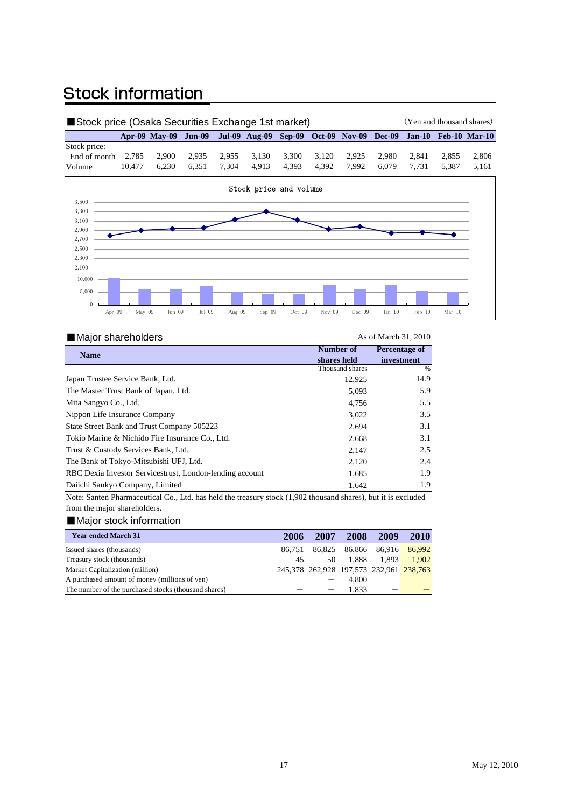### **Stock information**

| Stock price (Osaka Securities Exchange 1st market) |        |                                                                                     |       |       |       |       |       |       | (Yen and thousand shares) |       |       |       |
|----------------------------------------------------|--------|-------------------------------------------------------------------------------------|-------|-------|-------|-------|-------|-------|---------------------------|-------|-------|-------|
|                                                    |        | Apr-09 May-09 Jun-09 Jul-09 Aug-09 Sep-09 Oct-09 Nov-09 Dec-09 Jan-10 Feb-10 Mar-10 |       |       |       |       |       |       |                           |       |       |       |
| Stock price:                                       |        |                                                                                     |       |       |       |       |       |       |                           |       |       |       |
| End of month                                       | 2.785  | 2.900                                                                               | 2.935 | 2.955 | 3.130 | 3.300 | 3.120 | 2.925 | 2.980                     | 2.841 | 2.855 | 2.806 |
| Volume                                             | 10.477 | 6.230                                                                               | 6.351 | 7.304 | 4.913 | 4.393 | 4.392 | 7.992 | 6.079                     | 7.731 | 5.387 | 5.161 |



#### ■Major shareholders As of March 31, 2010

| <b>Name</b>                                              | Number of       | <b>Percentage of</b> |  |
|----------------------------------------------------------|-----------------|----------------------|--|
|                                                          | shares held     | investment           |  |
|                                                          | Thousand shares | %                    |  |
| Japan Trustee Service Bank, Ltd.                         | 12.925          | 14.9                 |  |
| The Master Trust Bank of Japan, Ltd.                     | 5.093           | 5.9                  |  |
| Mita Sangyo Co., Ltd.                                    | 4.756           | 5.5                  |  |
| Nippon Life Insurance Company                            | 3,022           | 3.5                  |  |
| State Street Bank and Trust Company 505223               | 2,694           | 3.1                  |  |
| Tokio Marine & Nichido Fire Insurance Co., Ltd.          | 2,668           | 3.1                  |  |
| Trust & Custody Services Bank, Ltd.                      | 2,147           | 2.5                  |  |
| The Bank of Tokyo-Mitsubishi UFJ, Ltd.                   | 2,120           | 2.4                  |  |
| RBC Dexia Investor Servicestrust, London-lending account | 1.685           | 1.9                  |  |
| Daiichi Sankyo Company, Limited                          | 1,642           | 1.9                  |  |

Note: Santen Pharmaceutical Co., Ltd. has held the treasury stock (1,902 thousand shares), but it is excluded from the major shareholders.

#### ■Major stock information

| <b>Year ended March 31</b>                           | 2006   | 2007                                    | 2008                 | 2009  | 2010   |
|------------------------------------------------------|--------|-----------------------------------------|----------------------|-------|--------|
| Issued shares (thousands)                            | 86.751 |                                         | 86,825 86,866 86,916 |       | 86,992 |
| Treasury stock (thousands)                           | 45     | 50                                      | 1.888                | 1.893 | 1.902  |
| Market Capitalization (million)                      |        | 245,378 262,928 197,573 232,961 238,763 |                      |       |        |
| A purchased amount of money (millions of yen)        |        |                                         | 4.800                |       |        |
| The number of the purchased stocks (thousand shares) |        | $\overbrace{\phantom{1232211}}$         | 1.833                |       |        |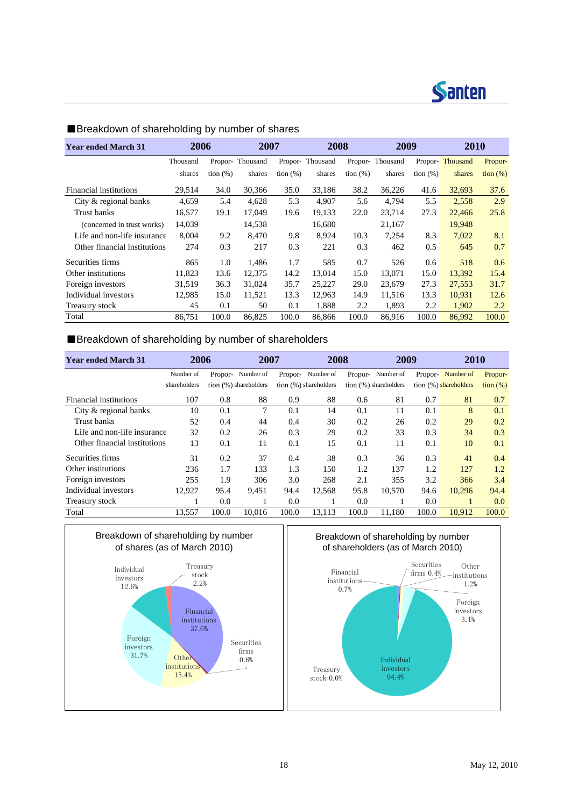

| <b>Year ended March 31</b>   | 2006     |             |          | 2008<br>2007 |                 | 2009        |          |             | 2010     |                                      |
|------------------------------|----------|-------------|----------|--------------|-----------------|-------------|----------|-------------|----------|--------------------------------------|
|                              | Thousand | Propor-     | Thousand |              | Propor-Thousand | Propor-     | Thousand | Propor-     | Thousand | Propor-                              |
|                              | shares   | tion $(\%)$ | shares   | tion $(\%)$  | shares          | tion $(\%)$ | shares   | tion $(\%)$ | shares   | $\frac{\text{tion } (\%)}{\text{d}}$ |
| Financial institutions       | 29,514   | 34.0        | 30,366   | 35.0         | 33,186          | 38.2        | 36,226   | 41.6        | 32,693   | 37.6                                 |
| City & regional banks        | 4,659    | 5.4         | 4.628    | 5.3          | 4,907           | 5.6         | 4,794    | 5.5         | 2,558    | 2.9                                  |
| Trust banks                  | 16,577   | 19.1        | 17.049   | 19.6         | 19.133          | 22.0        | 23,714   | 27.3        | 22,466   | 25.8                                 |
| (concerned in trust works)   | 14,039   |             | 14,538   |              | 16,680          |             | 21,167   |             | 19,948   |                                      |
| Life and non-life insurance  | 8,004    | 9.2         | 8.470    | 9.8          | 8,924           | 10.3        | 7,254    | 8.3         | 7,022    | 8.1                                  |
| Other financial institutions | 274      | 0.3         | 217      | 0.3          | 221             | 0.3         | 462      | 0.5         | 645      | 0.7                                  |
| Securities firms             | 865      | 1.0         | 1.486    | 1.7          | 585             | 0.7         | 526      | 0.6         | 518      | 0.6                                  |
| Other institutions           | 11,823   | 13.6        | 12,375   | 14.2         | 13,014          | 15.0        | 13,071   | 15.0        | 13,392   | 15.4                                 |
| Foreign investors            | 31,519   | 36.3        | 31,024   | 35.7         | 25,227          | 29.0        | 23,679   | 27.3        | 27,553   | 31.7                                 |
| Individual investors         | 12,985   | 15.0        | 11,521   | 13.3         | 12,963          | 14.9        | 11,516   | 13.3        | 10,931   | 12.6                                 |
| Treasury stock               | 45       | 0.1         | 50       | 0.1          | 1,888           | 2.2         | 1,893    | 2.2         | 1,902    | 2.2                                  |
| Total                        | 86.751   | 100.0       | 86,825   | 100.0        | 86,866          | 100.0       | 86.916   | 100.0       | 86,992   | 100.0                                |

#### ■Breakdown of shareholding by number of shares

#### ■Breakdown of shareholding by number of shareholders

| <b>Year ended March 31</b>   | 2006         |       | 2007                  |         | 2008                  |         | 2009                    |         | 2010                  |                   |
|------------------------------|--------------|-------|-----------------------|---------|-----------------------|---------|-------------------------|---------|-----------------------|-------------------|
|                              | Number of    |       | Propor- Number of     | Propor- | Number of             | Propor- | Number of               | Propor- | Number of             | Propor-           |
|                              | shareholders |       | tion (%) shareholders |         | tion (%) shareholders |         | tion $(%)$ shareholders |         | tion (%) shareholders | $\frac{1}{2}$ (%) |
| Financial institutions       | 107          | 0.8   | 88                    | 0.9     | 88                    | 0.6     | 81                      | 0.7     | 81                    | 0.7               |
| City & regional banks        | 10           | 0.1   | 7                     | 0.1     | 14                    | 0.1     | 11                      | 0.1     | 8                     | 0.1               |
| Trust banks                  | 52           | 0.4   | 44                    | 0.4     | 30                    | 0.2     | 26                      | 0.2     | 29                    | 0.2               |
| Life and non-life insurance  | 32           | 0.2   | 26                    | 0.3     | 29                    | 0.2     | 33                      | 0.3     | 34                    | 0.3               |
| Other financial institutions | 13           | 0.1   | 11                    | 0.1     | 15                    | 0.1     | 11                      | 0.1     | 10                    | 0.1               |
| Securities firms             | 31           | 0.2   | 37                    | 0.4     | 38                    | 0.3     | 36                      | 0.3     | 41                    | 0.4               |
| Other institutions           | 236          | 1.7   | 133                   | 1.3     | 150                   | 1.2     | 137                     | 1.2     | 127                   | 1.2               |
| Foreign investors            | 255          | 1.9   | 306                   | 3.0     | 268                   | 2.1     | 355                     | 3.2     | 366                   | 3.4               |
| Individual investors         | 12,927       | 95.4  | 9,451                 | 94.4    | 12,568                | 95.8    | 10,570                  | 94.6    | 10,296                | 94.4              |
| Treasury stock               |              | 0.0   |                       | 0.0     |                       | 0.0     |                         | 0.0     | 1                     | 0.0               |
| Total                        | 13,557       | 100.0 | 10,016                | 100.0   | 13,113                | 100.0   | 11,180                  | 100.0   | 10,912                | 100.0             |



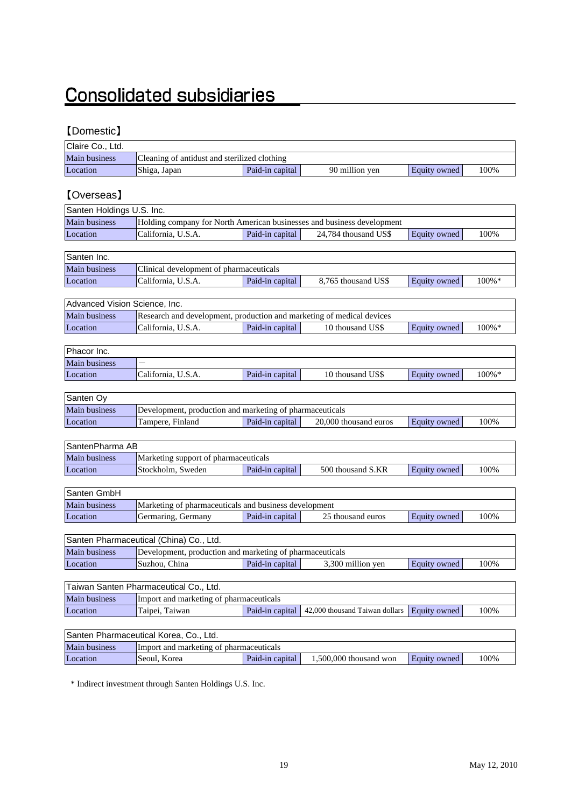## **Consolidated subsidiaries**

#### 【Domestic】

| Claire Co., Ltd.              |                                                                                              |                 |                                |              |           |
|-------------------------------|----------------------------------------------------------------------------------------------|-----------------|--------------------------------|--------------|-----------|
| Main business                 | Cleaning of antidust and sterilized clothing                                                 |                 |                                |              |           |
| Location                      | Shiga, Japan                                                                                 | Paid-in capital | 90 million yen                 | Equity owned | 100%      |
|                               |                                                                                              |                 |                                |              |           |
| [Overseas]                    |                                                                                              |                 |                                |              |           |
|                               |                                                                                              |                 |                                |              |           |
| Santen Holdings U.S. Inc.     |                                                                                              |                 |                                |              |           |
| Main business                 | Holding company for North American businesses and business development<br>California, U.S.A. |                 |                                |              |           |
| Location                      |                                                                                              | Paid-in capital | 24,784 thousand US\$           | Equity owned | 100%      |
| Santen Inc.                   |                                                                                              |                 |                                |              |           |
| Main business                 | Clinical development of pharmaceuticals                                                      |                 |                                |              |           |
| Location                      | California, U.S.A.                                                                           | Paid-in capital | 8,765 thousand US\$            | Equity owned | 100%*     |
|                               |                                                                                              |                 |                                |              |           |
| Advanced Vision Science, Inc. |                                                                                              |                 |                                |              |           |
| Main business                 | Research and development, production and marketing of medical devices                        |                 |                                |              |           |
| Location                      | California, U.S.A.                                                                           | Paid-in capital | 10 thousand US\$               | Equity owned | $100\% *$ |
|                               |                                                                                              |                 |                                |              |           |
| Phacor Inc.                   |                                                                                              |                 |                                |              |           |
| Main business                 |                                                                                              |                 |                                |              |           |
| Location                      | California, U.S.A.                                                                           | Paid-in capital | 10 thousand US\$               | Equity owned | 100%*     |
|                               |                                                                                              |                 |                                |              |           |
| Santen Oy                     |                                                                                              |                 |                                |              |           |
| <b>Main business</b>          | Development, production and marketing of pharmaceuticals                                     |                 |                                |              |           |
| Location                      | Tampere, Finland                                                                             | Paid-in capital | 20,000 thousand euros          | Equity owned | 100%      |
|                               |                                                                                              |                 |                                |              |           |
| SantenPharma AB               |                                                                                              |                 |                                |              |           |
| Main business                 | Marketing support of pharmaceuticals                                                         |                 |                                |              |           |
| Location                      | Stockholm, Sweden                                                                            | Paid-in capital | 500 thousand S.KR              | Equity owned | 100%      |
|                               |                                                                                              |                 |                                |              |           |
| Santen GmbH                   |                                                                                              |                 |                                |              |           |
| Main business                 | Marketing of pharmaceuticals and business development                                        |                 |                                |              |           |
| Location                      | Germaring, Germany                                                                           | Paid-in capital | 25 thousand euros              | Equity owned | 100%      |
|                               |                                                                                              |                 |                                |              |           |
|                               | Santen Pharmaceutical (China) Co., Ltd.                                                      |                 |                                |              |           |
| Main business                 | Development, production and marketing of pharmaceuticals                                     |                 |                                |              |           |
| Location                      | Suzhou, China                                                                                | Paid-in capital | 3,300 million yen              | Equity owned | 100%      |
|                               |                                                                                              |                 |                                |              |           |
|                               | Taiwan Santen Pharmaceutical Co., Ltd.                                                       |                 |                                |              |           |
| Main business                 | Import and marketing of pharmaceuticals                                                      |                 |                                |              |           |
| Location                      | Taipei, Taiwan                                                                               | Paid-in capital | 42,000 thousand Taiwan dollars | Equity owned | 100%      |
|                               |                                                                                              |                 |                                |              |           |
|                               | Santen Pharmaceutical Korea, Co., Ltd.                                                       |                 |                                |              |           |
| Main business                 | Import and marketing of pharmaceuticals                                                      |                 |                                |              |           |

\* Indirect investment through Santen Holdings U.S. Inc.

Location Seoul, Korea Paid-in capital 1,500,000 thousand won Equity owned 100%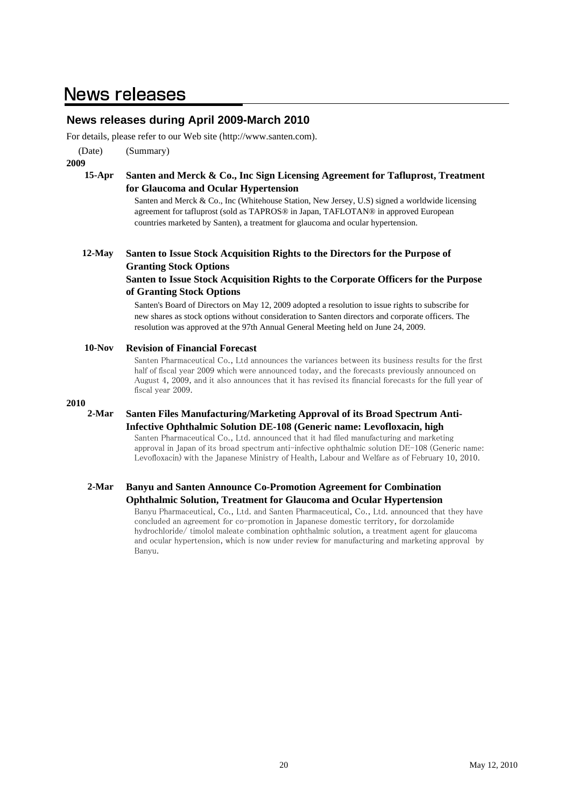### **News releases**

#### **News releases during April 2009-March 2010**

For details, please refer to our Web site (http://www.santen.com).

(Date) (Summary)

**2009**

#### **15-Apr Santen and Merck & Co., Inc Sign Licensing Agreement for Tafluprost, Treatment for Glaucoma and Ocular Hypertension**

Santen and Merck & Co., Inc (Whitehouse Station, New Jersey, U.S) signed a worldwide licensing agreement for tafluprost (sold as TAPROS® in Japan, TAFLOTAN® in approved European countries marketed by Santen), a treatment for glaucoma and ocular hypertension.

#### **12-May Santen to Issue Stock Acquisition Rights to the Directors for the Purpose of Granting Stock Options**

#### **Santen to Issue Stock Acquisition Rights to the Corporate Officers for the Purpose of Granting Stock Options**

Santen's Board of Directors on May 12, 2009 adopted a resolution to issue rights to subscribe for new shares as stock options without consideration to Santen directors and corporate officers. The resolution was approved at the 97th Annual General Meeting held on June 24, 2009.

#### **10-Nov Revision of Financial Forecast**

Santen Pharmaceutical Co., Ltd announces the variances between its business results for the first half of fiscal year 2009 which were announced today, and the forecasts previously announced on August 4, 2009, and it also announces that it has revised its financial forecasts for the full year of fiscal year 2009.

#### **2010**

**2-Mar**

#### **Santen Files Manufacturing/Marketing Approval of its Broad Spectrum Anti-Infective Ophthalmic Solution DE-108 (Generic name: Levofloxacin, high**

Santen Pharmaceutical Co., Ltd. announced that it had filed manufacturing and marketing approval in Japan of its broad spectrum anti-infective ophthalmic solution DE-108 (Generic name: Levofloxacin) with the Japanese Ministry of Health, Labour and Welfare as of February 10, 2010.

#### **2-Mar Banyu and Santen Announce Co-Promotion Agreement for Combination Ophthalmic Solution, Treatment for Glaucoma and Ocular Hypertension**

Banyu Pharmaceutical, Co., Ltd. and Santen Pharmaceutical, Co., Ltd. announced that they have concluded an agreement for co-promotion in Japanese domestic territory, for dorzolamide hydrochloride/ timolol maleate combination ophthalmic solution, a treatment agent for glaucoma and ocular hypertension, which is now under review for manufacturing and marketing approval by Banyu.